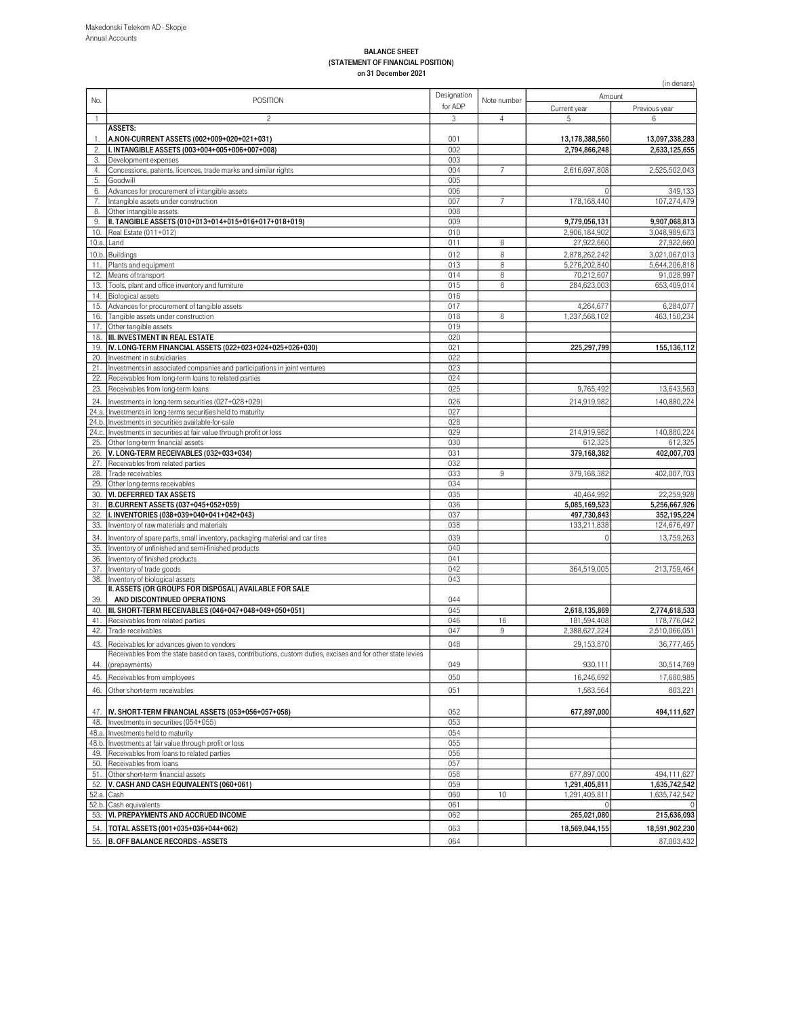#### BALANCE SHEET (STATEMENT OF FINANCIAL POSITION) on 31 December 2021

|                | on of December zuz i                                                                                        |             |             |                              | (in denars)                    |
|----------------|-------------------------------------------------------------------------------------------------------------|-------------|-------------|------------------------------|--------------------------------|
|                |                                                                                                             | Designation |             | Amount                       |                                |
| No.            | <b>POSITION</b>                                                                                             | for ADP     | Note number | Current year                 | Previous year                  |
| $\mathbf{1}$   | $\overline{c}$                                                                                              | 3           | 4           | 5                            | 6                              |
|                | <b>ASSETS:</b>                                                                                              |             |             |                              |                                |
| 1.             | A.NON-CURRENT ASSETS (002+009+020+021+031)                                                                  | 001         |             | 13,178,388,560               | 13,097,338,283                 |
| 2.<br>3.       | I. INTANGIBLE ASSETS (003+004+005+006+007+008)<br>Development expenses                                      | 002<br>003  |             | 2,794,866,248                | 2,633,125,655                  |
| 4.             | Concessions, patents, licences, trade marks and similar rights                                              | 004         |             | 2,616,697,808                | 2,525,502,043                  |
| 5.             | Goodwill                                                                                                    | 005         |             |                              |                                |
| 6.             | Advances for procurement of intangible assets                                                               | 006         |             |                              | 349,133                        |
| 7.             | Intangible assets under construction                                                                        | 007         |             | 178,168,440                  | 107,274,479                    |
| 8.             | Other intangible assets                                                                                     | 008         |             |                              |                                |
| 9.             | II. TANGIBLE ASSETS (010+013+014+015+016+017+018+019)<br>Real Estate (011+012)                              | 009<br>010  |             | 9,779,056,131                | 9,907,068,813<br>3,048,989,673 |
| 10.<br>10.a.   | Land                                                                                                        | 011         | 8           | 2,906,184,902<br>27,922,660  | 27,922,660                     |
| 10.b.          | Buildings                                                                                                   | 012         | 8           | 2,878,262,242                | 3,021,067,013                  |
| 11.            | Plants and equipment                                                                                        | 013         | 8           | 5,276,202,840                | 5,644,206,818                  |
| 12.            | Means of transport                                                                                          | 014         | 8           | 70,212,607                   | 91,028,997                     |
| 13.            | Tools, plant and office inventory and furniture                                                             | 015         | 8           | 284,623,003                  | 653,409,014                    |
| 14.            | <b>Biological assets</b>                                                                                    | 016         |             |                              |                                |
| 15.            | Advances for procurement of tangible assets                                                                 | 017         |             | 4,264,677                    | 6,284,077                      |
| 16.<br>17.     | Tangible assets under construction                                                                          | 018<br>019  | 8           | 1,237,568,102                | 463,150,234                    |
| 18.            | Other tangible assets<br>III. INVESTMENT IN REAL ESTATE                                                     | 020         |             |                              |                                |
| 19.            | IV. LONG-TERM FINANCIAL ASSETS (022+023+024+025+026+030)                                                    | 021         |             | 225,297,799                  | 155,136,112                    |
| 20.            | Investment in subsidiaries                                                                                  | 022         |             |                              |                                |
| 21.            | Investments in associated companies and participations in joint ventures                                    | 023         |             |                              |                                |
| 22.            | Receivables from long-term loans to related parties                                                         | 024         |             |                              |                                |
| 23.            | Receivables from long-term loans                                                                            | 025         |             | 9,765,492                    | 13,643,563                     |
| 24.            | Investments in long-term securities (027+028+029)                                                           | 026         |             | 214,919,982                  | 140,880,224                    |
| 24.a.          | Investments in long-terms securities held to maturity                                                       | 027         |             |                              |                                |
| 24.b.<br>24.c. | Investments in securities available-for-sale                                                                | 028<br>029  |             | 214,919,982                  | 140,880,224                    |
| 25.            | Investments in securities at fair value through profit or loss<br>Other long-term financial assets          | 030         |             | 612,325                      | 612,325                        |
| 26.            | V. LONG-TERM RECEIVABLES (032+033+034)                                                                      | 031         |             | 379,168,382                  | 402,007,703                    |
| 27.            | Receivables from related parties                                                                            | 032         |             |                              |                                |
| 28.            | Trade receivables                                                                                           | 033         | 9           | 379,168,382                  | 402,007,703                    |
| 29.            | Other long-terms receivables                                                                                | 034         |             |                              |                                |
| 30.            | <b>VI. DEFERRED TAX ASSETS</b>                                                                              | 035         |             | 40,464,992                   | 22,259,928                     |
| 31.<br>32.     | B.CURRENT ASSETS (037+045+052+059)<br>I. INVENTORIES (038+039+040+041+042+043)                              | 036<br>037  |             | 5,085,169,523<br>497,730,843 | 5,256,667,926<br>352,195,224   |
| 33.            | Inventory of raw materials and materials                                                                    | 038         |             | 133,211,838                  | 124,676,497                    |
| 34.            | Inventory of spare parts, small inventory, packaging material and car tires                                 | 039         |             | $\Omega$                     | 13,759,263                     |
| 35.            | Inventory of unfinished and semi-finished products                                                          | 040         |             |                              |                                |
| 36.            | Inventory of finished products                                                                              | 041         |             |                              |                                |
| 37.            | Inventory of trade goods                                                                                    | 042         |             | 364,519,005                  | 213,759,464                    |
| 38.            | Inventory of biological assets                                                                              | 043         |             |                              |                                |
|                | II. ASSETS (OR GROUPS FOR DISPOSAL) AVAILABLE FOR SALE                                                      |             |             |                              |                                |
| 39.            | AND DISCONTINUED OPERATIONS                                                                                 | 044<br>045  |             |                              |                                |
| 40.<br>41.     | III. SHORT-TERM RECEIVABLES (046+047+048+049+050+051)<br>Receivables from related parties                   | 046         | 16          | 2,618,135,869<br>181,594,408 | 2,774,618,533<br>178,776,042   |
| 42.            | Trade receivables                                                                                           | 047         | 9           | 2,388,627,224                | 2,510,066,051                  |
| 43.            | Receivables for advances given to vendors                                                                   | 048         |             | 29,153,870                   | 36,777,465                     |
|                | Receivables from the state based on taxes, contributions, custom duties, excises and for other state levies |             |             |                              |                                |
| 44.            | (prepayments)                                                                                               | 049         |             | 930,111                      | 30,514,769                     |
| 45.            | Receivables from employees                                                                                  | 050         |             | 16,246,692                   | 17,680,985                     |
| 46.            | Other short-term receivables                                                                                | 051         |             | 1,583,564                    | 803,221                        |
|                |                                                                                                             |             |             |                              |                                |
| 47.            | IV. SHORT-TERM FINANCIAL ASSETS (053+056+057+058)                                                           | 052         |             | 677,897,000                  | 494,111,627                    |
| 48.            | Investments in securities (054+055)                                                                         | 053         |             |                              |                                |
| 48.a.          | Investments held to maturity                                                                                | 054         |             |                              |                                |
| 48.b.          | Investments at fair value through profit or loss                                                            | 055         |             |                              |                                |
| 49.<br>50.     | Receivables from loans to related parties<br>Receivables from loans                                         | 056<br>057  |             |                              |                                |
| 51.            | Other short-term financial assets                                                                           | 058         |             | 677,897,000                  | 494,111,627                    |
| 52.            | V. CASH AND CASH EQUIVALENTS (060+061)                                                                      | 059         |             | 1,291,405,811                | 1,635,742,542                  |
| 52.a.          | Cash                                                                                                        | 060         | 10          | 1,291,405,811                | 1,635,742,542                  |
|                | 52.b. Cash equivalents                                                                                      | 061         |             |                              |                                |
| 53.            | VI. PREPAYMENTS AND ACCRUED INCOME                                                                          | 062         |             | 265,021,080                  | 215,636,093                    |
| 54.            | TOTAL ASSETS (001+035+036+044+062)                                                                          | 063         |             | 18,569,044,155               | 18,591,902,230                 |
| 55.            | <b>B. OFF BALANCE RECORDS - ASSETS</b>                                                                      | 064         |             |                              | 87,003,432                     |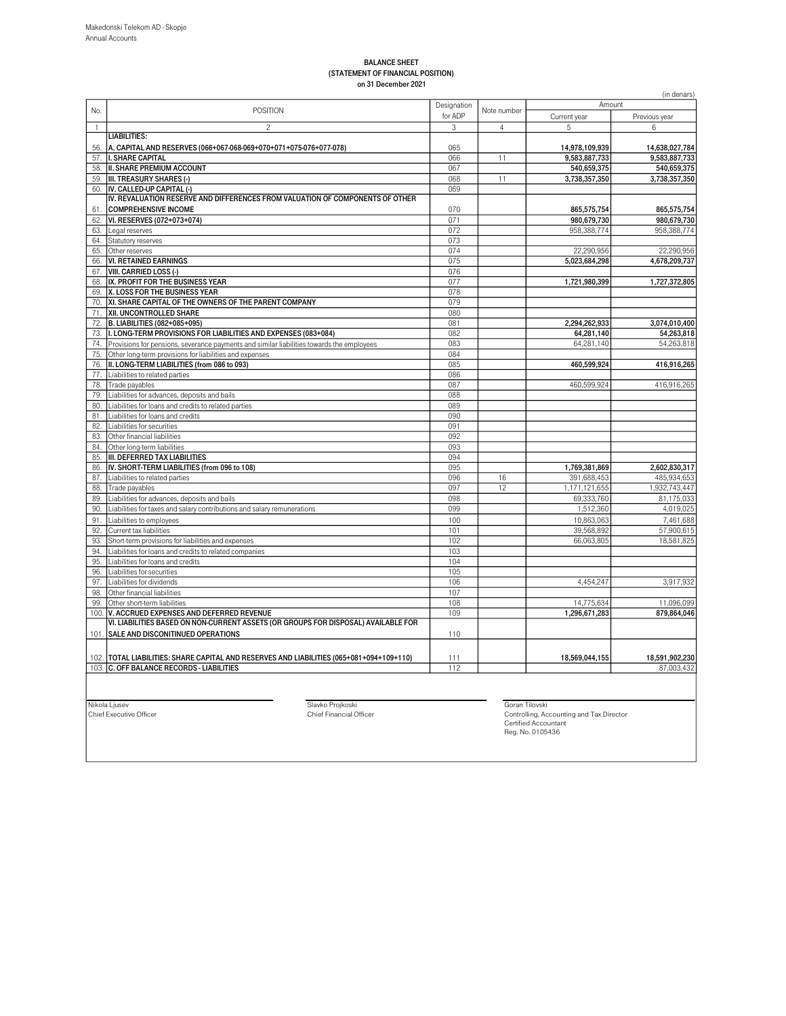#### BALANCE SHEET (STATEMENT OF FINANCIAL POSITION) on 31 December 2021

|              |                                                                                                                                        |             |                |                | (in denars)    |
|--------------|----------------------------------------------------------------------------------------------------------------------------------------|-------------|----------------|----------------|----------------|
|              |                                                                                                                                        | Designation |                | Amount         |                |
| No.          | <b>POSITION</b>                                                                                                                        | for ADP     | Note number    | Current year   | Previous year  |
| $\mathbf{1}$ | $\overline{c}$                                                                                                                         | 3           | $\overline{4}$ | 5              | 6              |
|              | <b>LIABILITIES:</b>                                                                                                                    |             |                |                |                |
| 56.          | A. CAPITAL AND RESERVES (066+067-068-069+070+071+075-076+077-078)                                                                      | 065         |                | 14,978,109,939 | 14,638,027,784 |
| 57.          | <b>I. SHARE CAPITAL</b>                                                                                                                | 066         | 11             | 9,583,887,733  | 9,583,887,733  |
| 58.          | II. SHARE PREMIUM ACCOUNT                                                                                                              | 067         |                | 540,659,375    | 540,659,375    |
|              |                                                                                                                                        |             | 11             |                |                |
|              | 59. <b>III. TREASURY SHARES (-)</b>                                                                                                    | 068         |                | 3,738,357,350  | 3,738,357,350  |
| 60.          | IV. CALLED-UP CAPITAL (-)                                                                                                              | 069         |                |                |                |
|              | IV. REVALUATION RESERVE AND DIFFERENCES FROM VALUATION OF COMPONENTS OF OTHER                                                          |             |                |                |                |
| 61.          | <b>COMPREHENSIVE INCOME</b>                                                                                                            | 070         |                | 865,575,754    | 865,575,754    |
| 62.          | VI. RESERVES (072+073+074)                                                                                                             | 071         |                | 980.679.730    | 980.679.730    |
| 63.          | Legal reserves                                                                                                                         | 072         |                | 958.388.774    | 958,388,774    |
| 64.          | Statutory reserves                                                                                                                     | 073         |                |                |                |
| 65.          | Other reserves                                                                                                                         | 074         |                | 22,290,956     | 22,290,956     |
| 66.          | <b>VI. RETAINED EARNINGS</b>                                                                                                           | 075         |                | 5,023,684,298  | 4,678,209,737  |
| 67.          | <b>VIII. CARRIED LOSS (-)</b>                                                                                                          | 076         |                |                |                |
| 68.          | IX. PROFIT FOR THE BUSINESS YEAR                                                                                                       | 077         |                | 1,721,980,399  | 1,727,372,805  |
|              | 69. X. LOSS FOR THE BUSINESS YEAR                                                                                                      | 078         |                |                |                |
| 70.          | XI. SHARE CAPITAL OF THE OWNERS OF THE PARENT COMPANY                                                                                  | 079         |                |                |                |
| 71.          | XII. UNCONTROLLED SHARE                                                                                                                | 080         |                |                |                |
| 72.          | B. LIABILITIES (082+085+095)                                                                                                           | 081         |                | 2,294,262,933  | 3,074,010,400  |
| 73.          | I. LONG-TERM PROVISIONS FOR LIABILITIES AND EXPENSES (083+084)                                                                         | 082         |                | 64,281,140     | 54,263,818     |
| 74.          | Provisions for pensions, severance payments and similar liabilities towards the employees                                              | 083         |                | 64,281,140     | 54,263,818     |
|              |                                                                                                                                        | 084         |                |                |                |
| 75.          | Other long-term provisions for liabilities and expenses                                                                                |             |                |                |                |
| 76.          | II. LONG-TERM LIABILITIES (from 086 to 093)                                                                                            | 085         |                | 460,599,924    | 416,916,265    |
| 77.          | Liabilities to related parties                                                                                                         | 086         |                |                |                |
| 78.          | Trade payables                                                                                                                         | 087         |                | 460,599,924    | 416,916,265    |
| 79.          | Liabilities for advances, deposits and bails                                                                                           | 088         |                |                |                |
| 80.          | Liabilities for loans and credits to related parties                                                                                   | 089         |                |                |                |
| 81.          | Liabilities for loans and credits                                                                                                      | 090         |                |                |                |
| 82.          | Liabilities for securities                                                                                                             | 091         |                |                |                |
| 83.          | Other financial liabilities                                                                                                            | 092         |                |                |                |
| 84.          | Other long-term liabilities                                                                                                            | 093         |                |                |                |
| 85.          | <b>III. DEFERRED TAX LIABILITIES</b>                                                                                                   | 094         |                |                |                |
| 86.          | IV. SHORT-TERM LIABILITIES (from 096 to 108)                                                                                           | 095         |                | 1,769,381,869  | 2,602,830,317  |
| 87.          | Liabilities to related parties                                                                                                         | 096         | 16             | 391,688,453    | 485,934,653    |
| 88.          | Trade payables                                                                                                                         | 097         | 12             | 1,171,121,655  | 1,932,743,447  |
| 89.          | Liabilities for advances, deposits and bails                                                                                           | 098         |                | 69,333,760     | 81,175,033     |
| 90.          | Liabilities for taxes and salary contributions and salary remunerations                                                                | 099         |                | 1,512,360      | 4,019,025      |
| 91.          | Liabilities to employees                                                                                                               | 100         |                | 10,863,063     | 7,461,688      |
| 92.          | Current tax liabilities                                                                                                                | 101         |                | 39,568,892     | 57,900,615     |
|              |                                                                                                                                        |             |                |                |                |
| 93.          | Short-term provisions for liabilities and expenses                                                                                     | 102         |                | 66,063,805     | 18,581,825     |
| 94.          | Liabilities for loans and credits to related companies                                                                                 | 103         |                |                |                |
| 95.          | Liabilities for loans and credits                                                                                                      | 104         |                |                |                |
| 96.          | Liabilities for securities                                                                                                             | 105         |                |                |                |
| 97.          | Liabilities for dividends                                                                                                              | 106         |                | 4,454,247      | 3,917,932      |
| 98.          | Other financial liabilities                                                                                                            | 107         |                |                |                |
| 99.          | Other short-term liabilities                                                                                                           | 108         |                | 14,775,634     | 11,096,099     |
| 100.         | V. ACCRUED EXPENSES AND DEFERRED REVENUE                                                                                               | 109         |                | 1,296,671,283  | 879.864.046    |
|              | VI. LIABILITIES BASED ON NON-CURRENT ASSETS (OR GROUPS FOR DISPOSAL) AVAILABLE FOR                                                     |             |                |                |                |
|              | 101. SALE AND DISCONITINUED OPERATIONS                                                                                                 | 110         |                |                |                |
|              |                                                                                                                                        |             |                |                |                |
|              |                                                                                                                                        | 111         |                |                |                |
|              | 102.  TOTAL LIABILITIES: SHARE CAPITAL AND RESERVES AND LIABILITIES (065+081+094+109+110)<br>103. C. OFF BALANCE RECORDS - LIABILITIES | 112         |                | 18,569,044,155 | 18,591,902,230 |
|              |                                                                                                                                        |             |                |                | 87.003.432     |
|              |                                                                                                                                        |             |                |                |                |

Nikola Ljusev<br>Chief Executive Officer Goran Tilovski Chief Financial Officer Chief Financial Officer Controlling, Accounting and Tax Director Controlling, Accounting and Tax Director Certified Accountant Reg. No. 0105436<br>R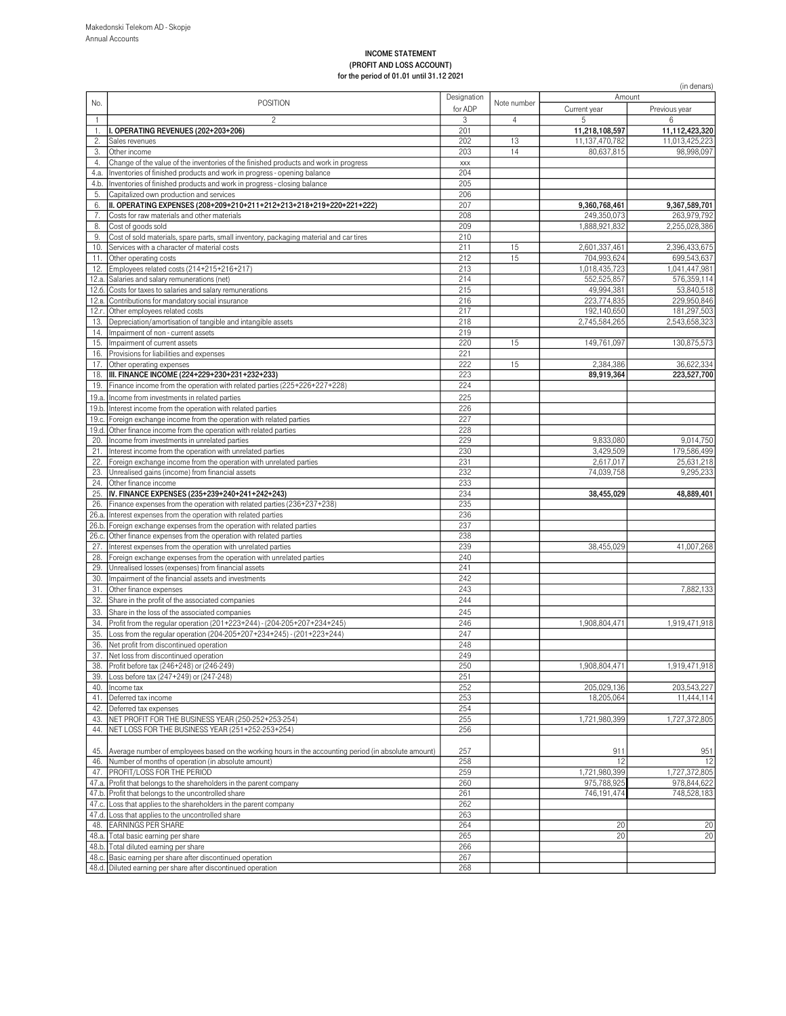#### INCOME STATEMENT (PROFIT AND LOSS ACCOUNT) for the period of 01.01 until 31.12 2021

|                    | $101$ the period of 01.01 drittle 31.12 2021                                                                           |             |                |                           | (in denars)                  |
|--------------------|------------------------------------------------------------------------------------------------------------------------|-------------|----------------|---------------------------|------------------------------|
| No.                | <b>POSITION</b>                                                                                                        | Designation | Note number    | Amount                    |                              |
|                    |                                                                                                                        | for ADP     |                | Current year              | Previous year                |
| $\mathbf{1}$<br>1. | $\overline{c}$<br>I. OPERATING REVENUES (202+203+206)                                                                  | 3<br>201    | $\overline{4}$ | 5<br>11,218,108,597       | 6<br>11,112,423,320          |
| 2.                 | Sales revenues                                                                                                         | 202         | 13             | 11,137,470,782            | 11,013,425,223               |
| 3.                 | Other income                                                                                                           | 203         | 14             | 80,637,815                | 98,998,097                   |
| 4.                 | Change of the value of the inventories of the finished products and work in progress                                   | XXX         |                |                           |                              |
| 4.a.               | Inventories of finished products and work in progress - opening balance                                                | 204         |                |                           |                              |
| 4.b.               | Inventories of finished products and work in progress - closing balance                                                | 205         |                |                           |                              |
| 5.                 | Capitalized own production and services<br>II. OPERATING EXPENSES (208+209+210+211+212+213+218+219+220+221+222)        | 206<br>207  |                | 9,360,768,461             |                              |
| 6.<br>7.           | Costs for raw materials and other materials                                                                            | 208         |                | 249,350,073               | 9,367,589,701<br>263,979,792 |
| 8.                 | Cost of goods sold                                                                                                     | 209         |                | 1,888,921,832             | 2,255,028,386                |
| 9.                 | Cost of sold materials, spare parts, small inventory, packaging material and car tires                                 | 210         |                |                           |                              |
| 10.                | Services with a character of material costs                                                                            | 211         | 15             | 2,601,337,461             | 2,396,433,675                |
| 11.                | Other operating costs                                                                                                  | 212         | 15             | 704,993,624               | 699,543,637                  |
| 12.                | Employees related costs (214+215+216+217)                                                                              | 213         |                | 1,018,435,723             | 1,041,447,981                |
| 12.a.              | Salaries and salary remunerations (net)                                                                                | 214         |                | 552,525,857               | 576,359,114                  |
| 12.6.              | Costs for taxes to salaries and salary remunerations<br>12.в. Contributions for mandatory social insurance             | 215<br>216  |                | 49,994,381<br>223,774,835 | 53,840,518<br>229,950,846    |
| 12.г.              | Other employees related costs                                                                                          | 217         |                | 192,140,650               | 181,297,503                  |
| 13.                | Depreciation/amortisation of tangible and intangible assets                                                            | 218         |                | 2,745,584,265             | 2,543,658,323                |
| 14.                | Impairment of non - current assets                                                                                     | 219         |                |                           |                              |
| 15.                | Impairment of current assets                                                                                           | 220         | 15             | 149,761,097               | 130,875,573                  |
| 16.                | Provisions for liabilities and expenses                                                                                | 221         |                |                           |                              |
| 17.                | Other operating expenses                                                                                               | 222         | 15             | 2,384,386                 | 36,622,334                   |
| 18.                | III. FINANCE INCOME (224+229+230+231+232+233)                                                                          | 223<br>224  |                | 89,919,364                | 223,527,700                  |
| 19.                | Finance income from the operation with related parties (225+226+227+228)<br>Income from investments in related parties | 225         |                |                           |                              |
| 19.a.<br>19.b.     | Interest income from the operation with related parties                                                                | 226         |                |                           |                              |
| 19.c.              | Foreign exchange income from the operation with related parties                                                        | 227         |                |                           |                              |
| 19.d.              | Other finance income from the operation with related parties                                                           | 228         |                |                           |                              |
| 20.                | Income from investments in unrelated parties                                                                           | 229         |                | 9,833,080                 | 9,014,750                    |
| 21.                | Interest income from the operation with unrelated parties                                                              | 230         |                | 3,429,509                 | 179,586,499                  |
| 22.                | Foreign exchange income from the operation with unrelated parties                                                      | 231         |                | 2,617,017                 | 25,631,218                   |
| 23.                | Unrealised gains (income) from financial assets                                                                        | 232         |                | 74,039,758                | 9,295,233                    |
| 24.<br>25.         | Other finance income<br>IV. FINANCE EXPENSES (235+239+240+241+242+243)                                                 | 233<br>234  |                | 38,455,029                | 48,889,401                   |
| 26.                | Finance expenses from the operation with related parties (236+237+238)                                                 | 235         |                |                           |                              |
| 26.a.              | Interest expenses from the operation with related parties                                                              | 236         |                |                           |                              |
| 26.b               | Foreign exchange expenses from the operation with related parties                                                      | 237         |                |                           |                              |
| 26.c.              | Other finance expenses from the operation with related parties                                                         | 238         |                |                           |                              |
| 27.                | Interest expenses from the operation with unrelated parties                                                            | 239         |                | 38,455,029                | 41,007,268                   |
| 28.                | Foreign exchange expenses from the operation with unrelated parties                                                    | 240         |                |                           |                              |
| 29.<br>30.         | Unrealised losses (expenses) from financial assets<br>Impairment of the financial assets and investments               | 241<br>242  |                |                           |                              |
| 31.                | Other finance expenses                                                                                                 | 243         |                |                           | 7,882,133                    |
| 32.                | Share in the profit of the associated companies                                                                        | 244         |                |                           |                              |
| 33.                | Share in the loss of the associated companies                                                                          | 245         |                |                           |                              |
| 34.                | Profit from the regular operation (201+223+244) - (204-205+207+234+245)                                                | 246         |                | 1,908,804,471             | 1,919,471,918                |
| 35.                | Loss from the regular operation (204-205+207+234+245) - (201+223+244)                                                  | 247         |                |                           |                              |
| 36.                | Net profit from discontinued operation                                                                                 | 248         |                |                           |                              |
|                    | 37. Net loss from discontinued operation                                                                               | 249         |                |                           |                              |
| 38.                | Profit before tax (246+248) or (246-249)                                                                               | 250         |                | 1,908,804,471             | 1,919,471,918                |
| 40.                | 39. Loss before tax (247+249) or (247-248)<br>Income tax                                                               | 251<br>252  |                | 205,029,136               | 203,543,227                  |
| 41.                | Deferred tax income                                                                                                    | 253         |                | 18,205,064                | 11,444,114                   |
| 42.                | Deferred tax expenses                                                                                                  | 254         |                |                           |                              |
| 43.                | NET PROFIT FOR THE BUSINESS YEAR (250-252+253-254)                                                                     | 255         |                | 1,721,980,399             | 1,727,372,805                |
| 44.                | NET LOSS FOR THE BUSINESS YEAR (251+252-253+254)                                                                       | 256         |                |                           |                              |
| 45.                | Average number of employees based on the working hours in the accounting period (in absolute amount)                   | 257         |                | 911                       | 951                          |
| 46.                | Number of months of operation (in absolute amount)                                                                     | 258         |                | 12                        | 12                           |
| 47.                | PROFIT/LOSS FOR THE PERIOD                                                                                             | 259         |                | 1,721,980,399             | 1,727,372,805                |
| 47.a.              | Profit that belongs to the shareholders in the parent company                                                          | 260         |                | 975,788,925               | 978,844,622                  |
|                    | 47.b. Profit that belongs to the uncontrolled share                                                                    | 261<br>262  |                | 746,191,474               | 748,528,183                  |
|                    | 47.c. Loss that applies to the shareholders in the parent company<br>47.d. Loss that applies to the uncontrolled share | 263         |                |                           |                              |
|                    | 48. EARNINGS PER SHARE                                                                                                 | 264         |                | 20                        | 20                           |
|                    | 48.a. Total basic earning per share                                                                                    | 265         |                | 20                        | 20                           |
|                    | 48.b. Total diluted earning per share                                                                                  | 266         |                |                           |                              |
|                    | 48.c. Basic earning per share after discontinued operation                                                             | 267         |                |                           |                              |
|                    | 48.d. Diluted earning per share after discontinued operation                                                           | 268         |                |                           |                              |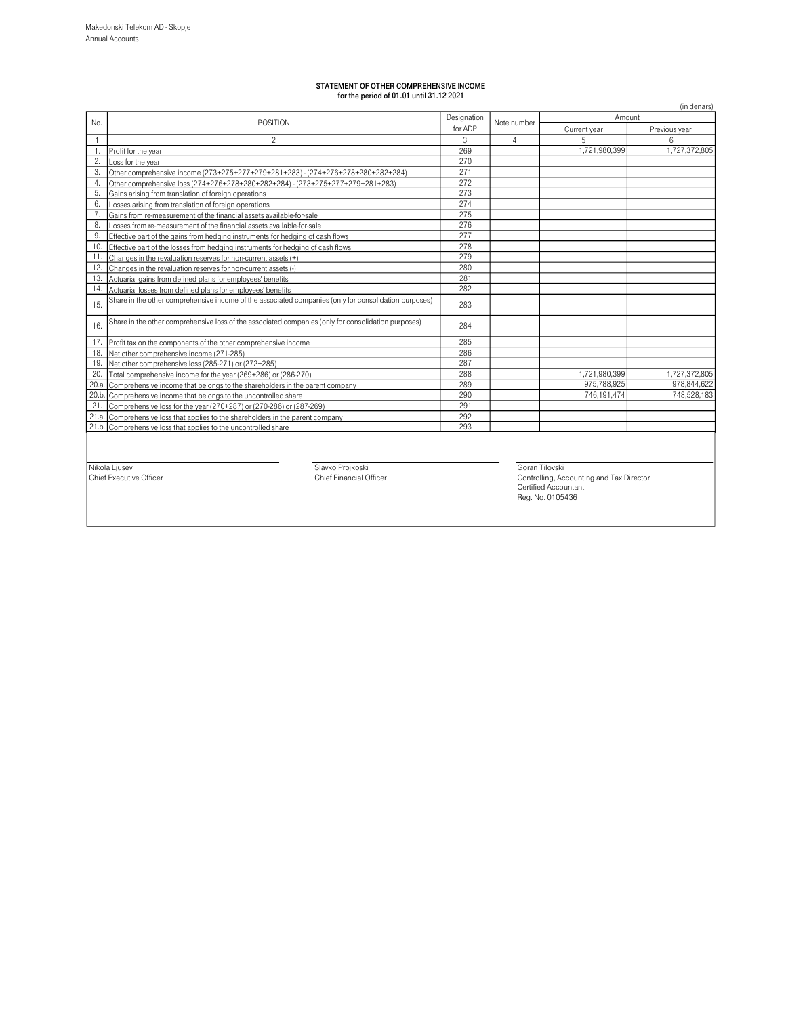# STATEMENT OF OTHER COMPREHENSIVE INCOME for the period of 01.01 until 31.12 2021

|       |                                                                                                       |             |             |                                                                                             | (in denars)   |
|-------|-------------------------------------------------------------------------------------------------------|-------------|-------------|---------------------------------------------------------------------------------------------|---------------|
| No.   | POSITION                                                                                              | Designation | Note number | Amount<br>Current year<br>5<br>1,721,980,399<br>1,721,980,399<br>975,788,925<br>746.191.474 |               |
|       |                                                                                                       |             |             |                                                                                             | Previous year |
|       | $\overline{c}$                                                                                        | 3           | 4           |                                                                                             | ĥ             |
|       | Profit for the year                                                                                   | 269         |             |                                                                                             | 1,727,372,805 |
| 2.    | Loss for the year                                                                                     | 270         |             |                                                                                             |               |
| 3.    | Other comprehensive income (273+275+277+279+281+283) - (274+276+278+280+282+284)                      | 271         |             |                                                                                             |               |
| 4.    | Other comprehensive loss (274+276+278+280+282+284) - (273+275+277+279+281+283)                        | 272         |             |                                                                                             |               |
| 5.    | Gains arising from translation of foreign operations                                                  | 273         |             |                                                                                             |               |
| 6.    | Losses arising from translation of foreign operations                                                 | 274         |             |                                                                                             |               |
| 7.    | Gains from re-measurement of the financial assets available-for-sale                                  | 275         |             |                                                                                             |               |
| 8.    | osses from re-measurement of the financial assets available-for-sale                                  | 276         |             |                                                                                             |               |
| 9.    | Effective part of the gains from hedging instruments for hedging of cash flows                        | 277         |             |                                                                                             |               |
| 10.   | Effective part of the losses from hedging instruments for hedging of cash flows                       | 278         |             |                                                                                             |               |
| 11.   | Changes in the revaluation reserves for non-current assets (+)                                        | 279         |             |                                                                                             |               |
| 12.   | Changes in the revaluation reserves for non-current assets (-)                                        | 280         |             |                                                                                             |               |
| 13.   | Actuarial gains from defined plans for employees' benefits                                            | 281         |             |                                                                                             |               |
| 14.   | Actuarial losses from defined plans for employees' benefits                                           | 282         |             |                                                                                             |               |
| 15.   | Share in the other comprehensive income of the associated companies (only for consolidation purposes) | 283         |             |                                                                                             |               |
| 16.   | Share in the other comprehensive loss of the associated companies (only for consolidation purposes)   | 284         |             |                                                                                             |               |
| 17.   | Profit tax on the components of the other comprehensive income                                        | 285         |             |                                                                                             |               |
| 18.   | Net other comprehensive income (271-285)                                                              | 286         |             |                                                                                             |               |
| 19.   | Net other comprehensive loss (285-271) or (272+285)                                                   | 287         |             |                                                                                             |               |
| 20.   | Total comprehensive income for the year (269+286) or (286-270)                                        | 288         |             |                                                                                             | 1,727,372,805 |
| 20.a. | Comprehensive income that belongs to the shareholders in the parent company                           | 289         |             |                                                                                             | 978,844,622   |
| 20.b  | Comprehensive income that belongs to the uncontrolled share                                           | 290         |             |                                                                                             | 748.528.183   |
| 21.   | Comprehensive loss for the year (270+287) or (270-286) or (287-269)                                   | 291         |             |                                                                                             |               |
|       | 21.a. Comprehensive loss that applies to the shareholders in the parent company                       | 292         |             |                                                                                             |               |
|       | 21.b. Comprehensive loss that applies to the uncontrolled share                                       | 293         |             |                                                                                             |               |
|       |                                                                                                       |             |             |                                                                                             |               |

Nikola Ljusev Slavko Projkoski Goran Tilovski Chief Executive Officer Chief Financial Officer Controlling, Accounting and Tax Director Certified Accountant Reg. No. 0105436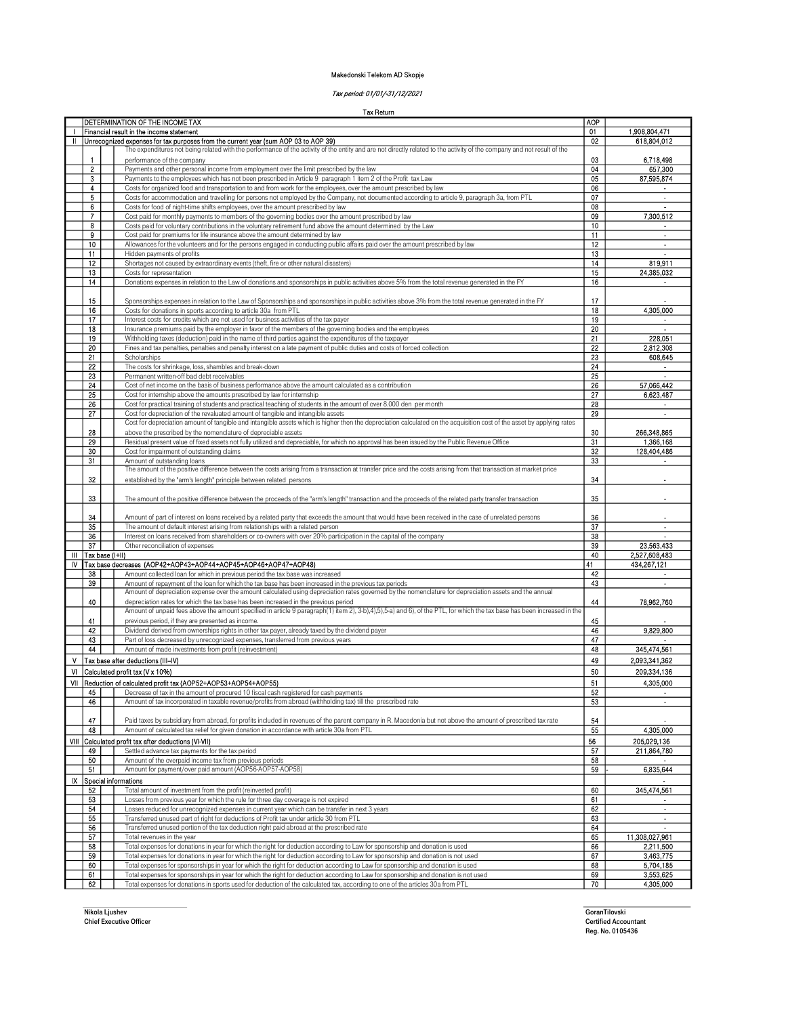#### Makedonski Telekom AD Skopje

# Tax period: 01/01/-31/12/2021

Tax Return

|      |                 | DETERMINATION OF THE INCOME TAX                                                                                                                                             | <b>AOP</b> |                             |
|------|-----------------|-----------------------------------------------------------------------------------------------------------------------------------------------------------------------------|------------|-----------------------------|
|      |                 | Financial result in the income statement                                                                                                                                    | 01         | 1,908,804,471               |
| Ш    |                 | Unrecognized expenses for tax purposes from the current year (sum AOP 03 to AOP 39)                                                                                         | 02         | 618,804,012                 |
|      |                 | The expenditures not being related with the performance of the activity of the entity and are not directly related to the activity of the company and not result of the     |            |                             |
|      | 1               | performance of the company                                                                                                                                                  | 03         | 6,718,498                   |
|      | 2               | Payments and other personal income from employment over the limit prescribed by the law                                                                                     | 04         | 657,300                     |
|      | 3               | Payments to the employees which has not been prescribed in Article 9 paragraph 1 item 2 of the Profit tax Law                                                               | 05         | 87 595,874                  |
|      | 4               | Costs for organized food and transportation to and from work for the employees, over the amount prescribed by law                                                           | 06         |                             |
|      | 5               | Costs for accommodation and travelling for persons not employed by the Company, not documented according to article 9, paragraph 3a, from PTL                               | 07         | $\mathbf{r}$                |
|      | 6               | Costs for food of night-time shifts employees, over the amount prescribed by law                                                                                            | 08         |                             |
|      | 7               | Cost paid for monthly payments to members of the governing bodies over the amount prescribed by law                                                                         | 09         | 7,300,512                   |
|      | 8<br>9          | Costs paid for voluntary contributions in the voluntary retirement fund above the amount determined by the Law                                                              | 10<br>11   | $\sim$                      |
|      | 10              | Cost paid for premiums for life insurance above the amount determined by law                                                                                                | 12         | $\overline{\phantom{a}}$    |
|      | 11              | Allowances for the volunteers and for the persons engaged in conducting public affairs paid over the amount prescribed by law<br>Hidden payments of profits                 | 13         |                             |
|      | 12              |                                                                                                                                                                             | 14         | 819,911                     |
|      | 13              | Shortages not caused by extraordinary events (theft, fire or other natural disasters)<br>Costs for representation                                                           | 15         | 24,385,032                  |
|      | 14              | Donations expenses in relation to the Law of donations and sponsorships in public activities above 5% from the total revenue generated in the FY                            | 16         |                             |
|      |                 |                                                                                                                                                                             |            |                             |
|      | 15              | Sponsorships expenses in relation to the Law of Sponsorships and sponsorships in public activities above 3% from the total revenue generated in the FY                      | 17         |                             |
|      | 16              | Costs for donations in sports according to article 30a from PTL                                                                                                             | 18         | 4,305,000                   |
|      | 17              | Interest costs for credits which are not used for business activities of the tax payer                                                                                      | 19         |                             |
|      | 18              | Insurance premiums paid by the employer in favor of the members of the governing bodies and the employees                                                                   | 20         |                             |
|      | 19              | Withholding taxes (deduction) paid in the name of third parties against the expenditures of the taxpayer                                                                    | 21         | 228,051                     |
|      | 20              | Fines and tax penalties, penalties and penalty interest on a late payment of public duties and costs of forced collection                                                   | 22         | 2,812,308                   |
|      | 21              | Scholarships                                                                                                                                                                | 23         | 608,645                     |
|      | 22              | The costs for shrinkage, loss, shambles and break-down                                                                                                                      | 24         |                             |
|      | 23              | Permanent written-off bad debt receivables                                                                                                                                  | 25         |                             |
|      | 24              | Cost of net income on the basis of business performance above the amount calculated as a contribution                                                                       | 26         | 57,066,442                  |
|      | 25              | Cost for internship above the amounts prescribed by law for internship                                                                                                      | 27         | 6,623,487                   |
|      | 26              | Cost for practical training of students and practical teaching of students in the amount of over 8.000 den per month                                                        | 28         |                             |
|      | 27              | Cost for depreciation of the revaluated amount of tangible and intangible assets                                                                                            | 29         |                             |
|      |                 | Cost for depreciation amount of tangible and intangible assets which is higher then the depreciation calculated on the acquisition cost of the asset by applying rates      |            |                             |
|      | 28              | above the prescribed by the nomenclature of depreciable assets                                                                                                              | 30         | 266,348,865                 |
|      | 29              | Residual present value of fixed assets not fully utilized and depreciable, for which no approval has been issued by the Public Revenue Office                               | 31         | 1,366,168                   |
|      | 30              | Cost for impairment of outstanding claims                                                                                                                                   | 32         | 128,404,486                 |
|      | 31              | Amount of outstanding loans                                                                                                                                                 | 33         |                             |
|      |                 | The amount of the positive difference between the costs arising from a transaction at transfer price and the costs arising from that transaction at market price            |            |                             |
|      | 32              | established by the "arm's length" principle between related persons                                                                                                         | 34         |                             |
|      |                 |                                                                                                                                                                             |            |                             |
|      | 33              | The amount of the positive difference between the proceeds of the "arm's length" transaction and the proceeds of the related party transfer transaction                     | 35         |                             |
|      |                 |                                                                                                                                                                             |            |                             |
|      | 34              | Amount of part of interest on loans received by a related party that exceeds the amount that would have been received in the case of unrelated persons                      | 36         |                             |
|      | 35              | The amount of default interest arising from relationships with a related person                                                                                             | 37         | $\alpha$                    |
|      | 36              | Interest on loans received from shareholders or co-owners with over 20% participation in the capital of the company                                                         | 38         |                             |
|      | 37              | Other reconciliation of expenses                                                                                                                                            | 39         | 23,563,433                  |
| Ш    | Tax base (I+II) |                                                                                                                                                                             | 40         | 2,527,608,483               |
| IV   |                 | Tax base decreases (AOP42+AOP43+AOP44+AOP45+AOP46+AOP47+AOP48)                                                                                                              | 41         | 434,267,121                 |
|      | 38              | Amount collected loan for which in previous period the tax base was increased                                                                                               | 42         | $\blacksquare$              |
|      | 39              | Amount of repayment of the loan for which the tax base has been increased in the previous tax periods                                                                       | 43         | $\Delta$                    |
|      |                 | Amount of depreciation expense over the amount calculated using depreciation rates governed by the nomenclature for depreciation assets and the annual                      |            |                             |
|      | 40              | depreciation rates for which the tax base has been increased in the previous period                                                                                         | 44         | 78,962,760                  |
|      |                 | Amount of unpaid fees above the amount specified in article 9 paragraph(1) item 2), 3-b), 4), 5), 5-a) and 6), of the PTL, for which the tax base has been increased in the |            |                             |
|      | 41              | previous period, if they are presented as income.                                                                                                                           | 45         |                             |
|      | 42              | Dividend derived from ownerships rights in other tax payer, already taxed by the dividend payer                                                                             | 46         | 9,829,800                   |
|      | 43              | Part of loss decreased by unrecognized expenses, transferred from previous years                                                                                            | 47         |                             |
|      | 44              | Amount of made investments from profit (reinvestment)                                                                                                                       | 48         | 345,474,561                 |
| ٧    |                 | Tax base after deductions (III-IV)                                                                                                                                          | 49         | 2,093,341,362               |
| м    |                 | Calculated profit tax (V x 10%)                                                                                                                                             | 50         | 209,334,136                 |
| VII  |                 | Reduction of calculated profit tax (AOP52+AOP53+AOP54+AOP55)                                                                                                                | 51         | 4,305,000                   |
|      | 45              | Decrease of tax in the amount of procured 10 fiscal cash registered for cash payments                                                                                       | 52         |                             |
|      | 46              | Amount of tax incorporated in taxable revenue/profits from abroad (withholding tax) till the prescribed rate                                                                | 53         | $\sim$                      |
|      |                 |                                                                                                                                                                             |            |                             |
|      | 47              | Paid taxes by subsidiary from abroad, for profits included in revenues of the parent company in R. Macedonia but not above the amount of prescribed tax rate                | 54         |                             |
|      | 48              | Amount of calculated tax relief for given donation in accordance with article 30a from PTL                                                                                  | 55         | 4,305,000                   |
| VIII |                 | Calculated profit tax after deductions (VI-VII)                                                                                                                             | 56         | 205,029.136                 |
|      | 49              | Settled advance tax payments for the tax period                                                                                                                             | 57         | 211,864.780                 |
|      | 50              | Amount of the overpaid income tax from previous periods                                                                                                                     | 58         |                             |
|      | 51              | Amount for payment/over paid amount (AOP56-AOP57-AOP58)                                                                                                                     | 59         | 6,835,644                   |
| IX   |                 | Special informations                                                                                                                                                        |            |                             |
|      | 52              | Total amount of investment from the profit (reinvested profit)                                                                                                              | 60         | 345,474,561                 |
|      | 53              | Losses from previous year for which the rule for three day coverage is not expired                                                                                          | 61         |                             |
|      | 54              | Losses reduced for unrecognized expenses in current year which can be transfer in next 3 years                                                                              | 62         | $\mathcal{L}_{\mathcal{A}}$ |
|      | 55              | Transferred unused part of right for deductions of Profit tax under article 30 from PTL                                                                                     | 63         | $\blacksquare$              |
|      | 56              | Transferred unused portion of the tax deduction right paid abroad at the prescribed rate                                                                                    | 64         | $\mathbf{r}$                |
|      | 57              | Total revenues in the year                                                                                                                                                  | 65         | 11,308,027,961              |
|      | 58              | Total expenses for donations in year for which the right for deduction according to Law for sponsorship and donation is used                                                | 66         | 2,211,500                   |
|      | 59              | Total expenses for donations in year for which the right for deduction according to Law for sponsorship and donation is not used                                            | 67         | 3,463,775                   |
|      | 60              | Total expenses for sponsorships in year for which the right for deduction according to Law for sponsorship and donation is used                                             | 68         | 5,704,185                   |
|      | 61              | Total expenses for sponsorships in year for which the right for deduction according to Law for sponsorship and donation is not used                                         | 69         | 3,553,625                   |
|      | 62              | Total expenses for donations in sports used for deduction of the calculated tax, according to one of the articles 30a from PTL                                              | 70         | 4,305,000                   |

Nikola Ljushev GoranTilovski Chief Executive Officer Certified Accountant

GoranTilovski<br>Certified Accountant<br>Reg. No. 0105436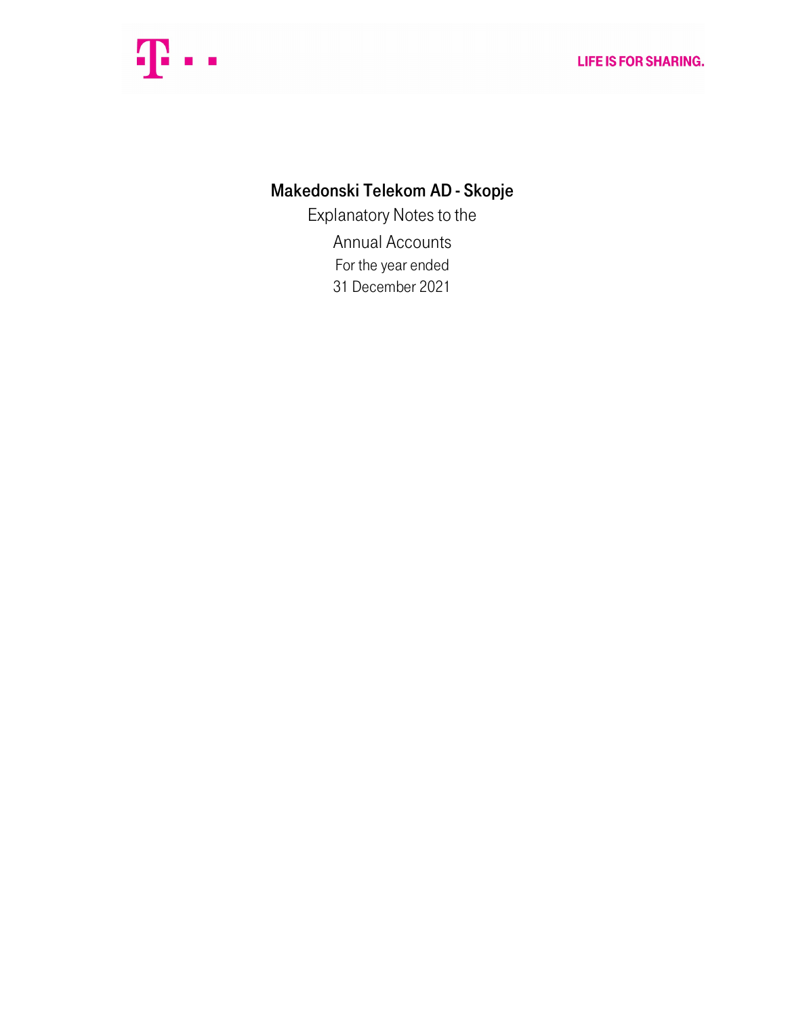

# Makedonski Telekom AD - Skopje

Explanatory Notes to the Annual Accounts For the year ended 31 December 2021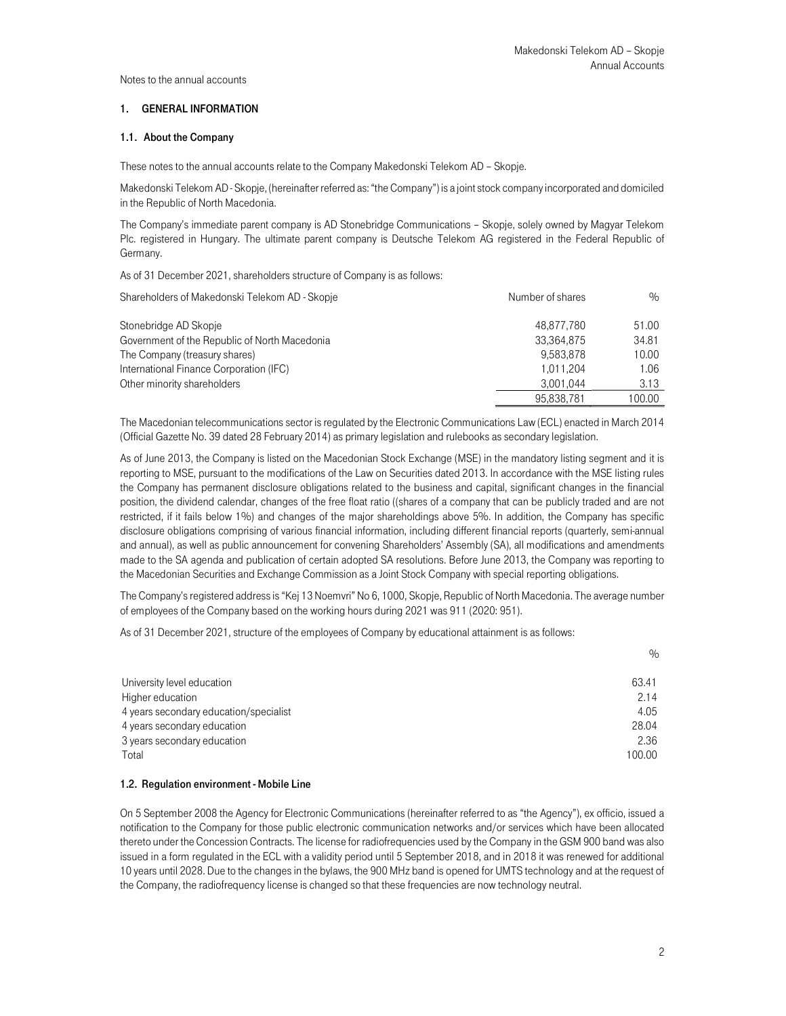## 1. GENERAL INFORMATION

## 1.1. About the Company

These notes to the annual accounts relate to the Company Makedonski Telekom AD – Skopje.

Makedonski Telekom AD - Skopje, (hereinafter referred as: "the Company") is a joint stock company incorporated and domiciled in the Republic of North Macedonia.

The Company's immediate parent company is AD Stonebridge Communications – Skopje, solely owned by Magyar Telekom Plc. registered in Hungary. The ultimate parent company is Deutsche Telekom AG registered in the Federal Republic of Germany.

As of 31 December 2021, shareholders structure of Company is as follows:

| Shareholders of Makedonski Telekom AD - Skopje | Number of shares | $\%$   |
|------------------------------------------------|------------------|--------|
| Stonebridge AD Skopje                          | 48.877.780       | 51.00  |
| Government of the Republic of North Macedonia  | 33.364.875       | 34.81  |
| The Company (treasury shares)                  | 9.583.878        | 10.00  |
| International Finance Corporation (IFC)        | 1.011.204        | 1.06   |
| Other minority shareholders                    | 3.001.044        | 3.13   |
|                                                | 95.838.781       | 100.00 |

The Macedonian telecommunications sector is regulated by the Electronic Communications Law (ECL) enacted in March 2014 (Official Gazette No. 39 dated 28 February 2014) as primary legislation and rulebooks as secondary legislation.

As of June 2013, the Company is listed on the Macedonian Stock Exchange (MSE) in the mandatory listing segment and it is reporting to MSE, pursuant to the modifications of the Law on Securities dated 2013. In accordance with the MSE listing rules the Company has permanent disclosure obligations related to the business and capital, significant changes in the financial position, the dividend calendar, changes of the free float ratio ((shares of a company that can be publicly traded and are not restricted, if it fails below 1%) and changes of the major shareholdings above 5%. In addition, the Company has specific disclosure obligations comprising of various financial information, including different financial reports (quarterly, semi-annual and annual), as well as public announcement for convening Shareholders' Assembly (SA), all modifications and amendments made to the SA agenda and publication of certain adopted SA resolutions. Before June 2013, the Company was reporting to the Macedonian Securities and Exchange Commission as a Joint Stock Company with special reporting obligations.

The Company's registered address is "Kej 13 Noemvri" No 6, 1000, Skopje, Republic of North Macedonia. The average number of employees of the Company based on the working hours during 2021 was 911 (2020: 951).

As of 31 December 2021, structure of the employees of Company by educational attainment is as follows:

| University level education             | 63.41  |
|----------------------------------------|--------|
| Higher education                       | 2.14   |
| 4 years secondary education/specialist | 4.05   |
| 4 years secondary education            | 28.04  |
| 3 years secondary education            | 2.36   |
| Total                                  | 100.00 |

#### 1.2. Regulation environment - Mobile Line

On 5 September 2008 the Agency for Electronic Communications (hereinafter referred to as "the Agency"), ex officio, issued a notification to the Company for those public electronic communication networks and/or services which have been allocated thereto under the Concession Contracts. The license for radiofrequencies used by the Company in the GSM 900 band was also issued in a form regulated in the ECL with a validity period until 5 September 2018, and in 2018 it was renewed for additional 10 years until 2028. Due to the changes in the bylaws, the 900 MHz band is opened for UMTS technology and at the request of the Company, the radiofrequency license is changed so that these frequencies are now technology neutral.

%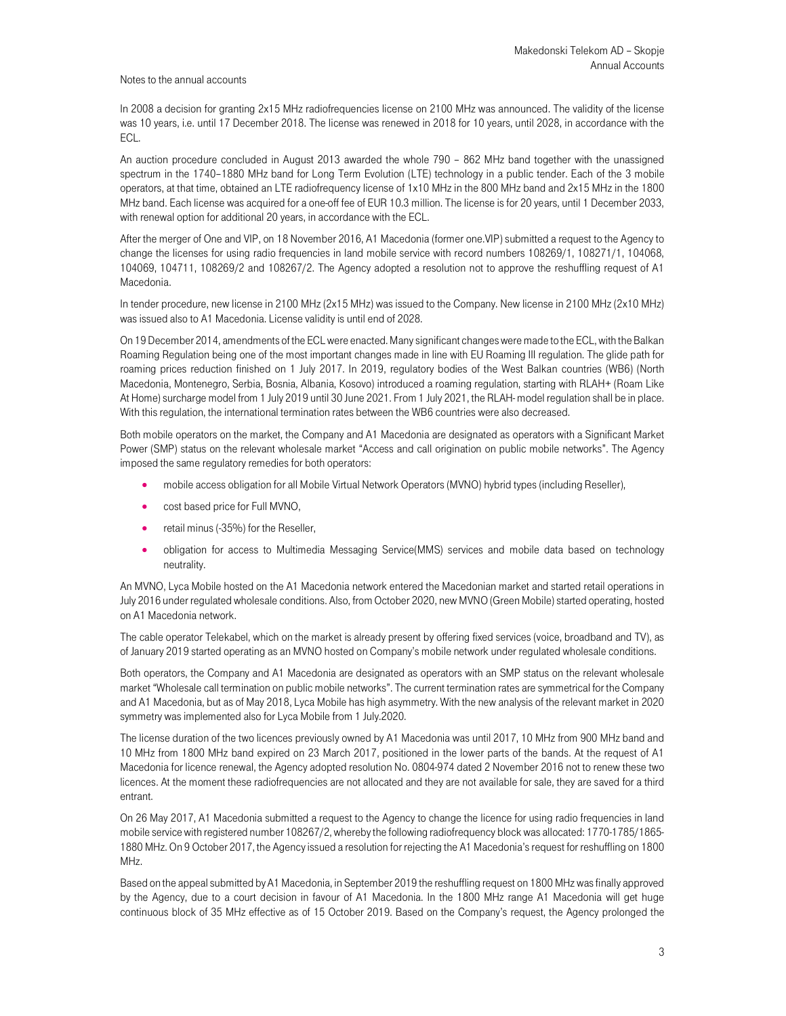In 2008 a decision for granting 2x15 MHz radiofrequencies license on 2100 MHz was announced. The validity of the license was 10 years, i.e. until 17 December 2018. The license was renewed in 2018 for 10 years, until 2028, in accordance with the ECL.

An auction procedure concluded in August 2013 awarded the whole 790 – 862 MHz band together with the unassigned spectrum in the 1740–1880 MHz band for Long Term Evolution (LTE) technology in a public tender. Each of the 3 mobile operators, at that time, obtained an LTE radiofrequency license of 1x10 MHz in the 800 MHz band and 2x15 MHz in the 1800 MHz band. Each license was acquired for a one-off fee of EUR 10.3 million. The license is for 20 years, until 1 December 2033, with renewal option for additional 20 years, in accordance with the ECL.

After the merger of One and VIP, on 18 November 2016, A1 Macedonia (former one.VIP) submitted a request to the Agency to change the licenses for using radio frequencies in land mobile service with record numbers 108269/1, 108271/1, 104068, 104069, 104711, 108269/2 and 108267/2. The Agency adopted a resolution not to approve the reshuffling request of A1 Macedonia.

In tender procedure, new license in 2100 MHz (2x15 MHz) was issued to the Company. New license in 2100 MHz (2x10 MHz) was issued also to A1 Macedonia. License validity is until end of 2028.

On 19 December 2014, amendments of the ECL were enacted. Many significant changes were made to the ECL, with the Balkan Roaming Regulation being one of the most important changes made in line with EU Roaming III regulation. The glide path for roaming prices reduction finished on 1 July 2017. In 2019, regulatory bodies of the West Balkan countries (WB6) (North Macedonia, Montenegro, Serbia, Bosnia, Albania, Kosovo) introduced a roaming regulation, starting with RLAH+ (Roam Like At Home) surcharge model from 1 July 2019 until 30 June 2021. From 1 July 2021, the RLAH- model regulation shall be in place. With this regulation, the international termination rates between the WB6 countries were also decreased.

Both mobile operators on the market, the Company and A1 Macedonia are designated as operators with a Significant Market Power (SMP) status on the relevant wholesale market "Access and call origination on public mobile networks". The Agency imposed the same regulatory remedies for both operators:

- mobile access obligation for all Mobile Virtual Network Operators (MVNO) hybrid types (including Reseller),
- cost based price for Full MVNO,
- **•** retail minus (-35%) for the Reseller,
- obligation for access to Multimedia Messaging Service(MMS) services and mobile data based on technology neutrality.

An MVNO, Lyca Mobile hosted on the A1 Macedonia network entered the Macedonian market and started retail operations in July 2016 under regulated wholesale conditions. Also, from October 2020, new MVNO (Green Mobile) started operating, hosted on A1 Macedonia network.

The cable operator Telekabel, which on the market is already present by offering fixed services (voice, broadband and TV), as of January 2019 started operating as an MVNO hosted on Company's mobile network under regulated wholesale conditions.

Both operators, the Company and A1 Macedonia are designated as operators with an SMP status on the relevant wholesale market "Wholesale call termination on public mobile networks". The current termination rates are symmetrical for the Company and A1 Macedonia, but as of May 2018, Lyca Mobile has high asymmetry. With the new analysis of the relevant market in 2020 symmetry was implemented also for Lyca Mobile from 1 July.2020.

The license duration of the two licences previously owned by A1 Macedonia was until 2017, 10 MHz from 900 MHz band and 10 MHz from 1800 MHz band expired on 23 March 2017, positioned in the lower parts of the bands. At the request of A1 Macedonia for licence renewal, the Agency adopted resolution No. 0804-974 dated 2 November 2016 not to renew these two licences. At the moment these radiofrequencies are not allocated and they are not available for sale, they are saved for a third entrant.

On 26 May 2017, A1 Macedonia submitted a request to the Agency to change the licence for using radio frequencies in land mobile service with registered number 108267/2, whereby the following radiofrequency block was allocated: 1770-1785/1865- 1880 MHz. On 9 October 2017, the Agency issued a resolution for rejecting the A1 Macedonia's request for reshuffling on 1800 MHz.

Based on the appeal submitted by A1 Macedonia, in September 2019 the reshuffling request on 1800 MHz was finally approved by the Agency, due to a court decision in favour of A1 Macedonia. In the 1800 MHz range A1 Macedonia will get huge continuous block of 35 MHz effective as of 15 October 2019. Based on the Company's request, the Agency prolonged the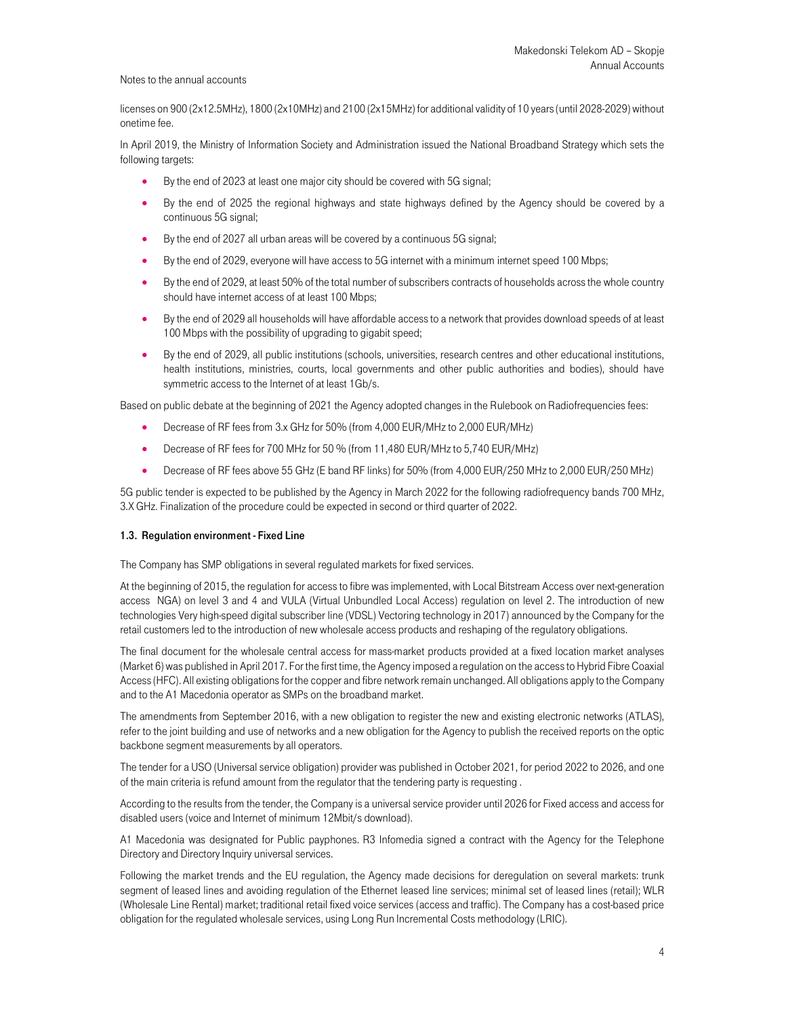licenses on 900 (2x12.5MHz), 1800 (2x10MHz) and 2100 (2x15MHz) for additional validity of 10 years (until 2028-2029) without onetime fee.

In April 2019, the Ministry of Information Society and Administration issued the National Broadband Strategy which sets the following targets:

- By the end of 2023 at least one major city should be covered with 5G signal;
- By the end of 2025 the regional highways and state highways defined by the Agency should be covered by a continuous 5G signal;
- By the end of 2027 all urban areas will be covered by a continuous 5G signal;
- By the end of 2029, everyone will have access to 5G internet with a minimum internet speed 100 Mbps;
- By the end of 2029, at least 50% of the total number of subscribers contracts of households across the whole country should have internet access of at least 100 Mbps;
- By the end of 2029 all households will have affordable access to a network that provides download speeds of at least 100 Mbps with the possibility of upgrading to gigabit speed;
- By the end of 2029, all public institutions (schools, universities, research centres and other educational institutions, health institutions, ministries, courts, local governments and other public authorities and bodies), should have symmetric access to the Internet of at least 1Gb/s.

Based on public debate at the beginning of 2021 the Agency adopted changes in the Rulebook on Radiofrequencies fees:

- Decrease of RF fees from 3.x GHz for 50% (from 4,000 EUR/MHz to 2,000 EUR/MHz)
- Decrease of RF fees for 700 MHz for 50 % (from 11,480 EUR/MHz to 5,740 EUR/MHz)
- Decrease of RF fees above 55 GHz (E band RF links) for 50% (from 4,000 EUR/250 MHz to 2,000 EUR/250 MHz)

5G public tender is expected to be published by the Agency in March 2022 for the following radiofrequency bands 700 MHz, 3.X GHz. Finalization of the procedure could be expected in second or third quarter of 2022.

### 1.3. Regulation environment - Fixed Line

The Company has SMP obligations in several regulated markets for fixed services.

At the beginning of 2015, the regulation for access to fibre was implemented, with Local Bitstream Access over next-generation access NGA) on level 3 and 4 and VULA (Virtual Unbundled Local Access) regulation on level 2. The introduction of new technologies Very high-speed digital subscriber line (VDSL) Vectoring technology in 2017) announced by the Company for the retail customers led to the introduction of new wholesale access products and reshaping of the regulatory obligations.

The final document for the wholesale central access for mass-market products provided at a fixed location market analyses (Market 6) was published in April 2017. For the first time, the Agency imposed a regulation on the access to Hybrid Fibre Coaxial Access (HFC). All existing obligations for the copper and fibre network remain unchanged. All obligations apply to the Company and to the A1 Macedonia operator as SMPs on the broadband market.

The amendments from September 2016, with a new obligation to register the new and existing electronic networks (ATLAS), refer to the joint building and use of networks and a new obligation for the Agency to publish the received reports on the optic backbone segment measurements by all operators.

The tender for a USO (Universal service obligation) provider was published in October 2021, for period 2022 to 2026, and one of the main criteria is refund amount from the regulator that the tendering party is requesting .

According to the results from the tender, the Company is a universal service provider until 2026 for Fixed access and access for disabled users (voice and Internet of minimum 12Mbit/s download).

A1 Macedonia was designated for Public payphones. R3 Infomedia signed a contract with the Agency for the Telephone Directory and Directory Inquiry universal services.

Following the market trends and the EU regulation, the Agency made decisions for deregulation on several markets: trunk segment of leased lines and avoiding regulation of the Ethernet leased line services; minimal set of leased lines (retail); WLR (Wholesale Line Rental) market; traditional retail fixed voice services (access and traffic). The Company has a cost-based price obligation for the regulated wholesale services, using Long Run Incremental Costs methodology (LRIC).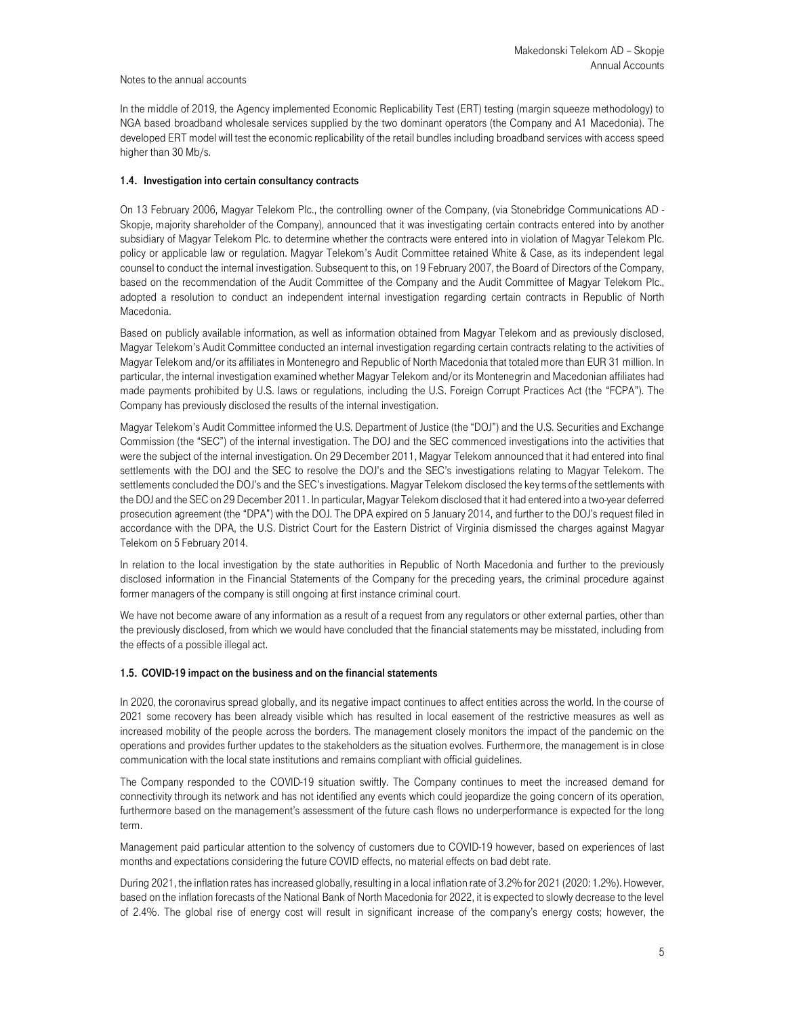In the middle of 2019, the Agency implemented Economic Replicability Test (ERT) testing (margin squeeze methodology) to NGA based broadband wholesale services supplied by the two dominant operators (the Company and A1 Macedonia). The developed ERT model will test the economic replicability of the retail bundles including broadband services with access speed higher than 30 Mb/s.

## 1.4. Investigation into certain consultancy contracts

On 13 February 2006, Magyar Telekom Plc., the controlling owner of the Company, (via Stonebridge Communications AD - Skopje, majority shareholder of the Company), announced that it was investigating certain contracts entered into by another subsidiary of Magyar Telekom Plc. to determine whether the contracts were entered into in violation of Magyar Telekom Plc. policy or applicable law or regulation. Magyar Telekom's Audit Committee retained White & Case, as its independent legal counsel to conduct the internal investigation. Subsequent to this, on 19 February 2007, the Board of Directors of the Company, based on the recommendation of the Audit Committee of the Company and the Audit Committee of Magyar Telekom Plc., adopted a resolution to conduct an independent internal investigation regarding certain contracts in Republic of North Macedonia.

Based on publicly available information, as well as information obtained from Magyar Telekom and as previously disclosed, Magyar Telekom's Audit Committee conducted an internal investigation regarding certain contracts relating to the activities of Magyar Telekom and/or its affiliates in Montenegro and Republic of North Macedonia that totaled more than EUR 31 million. In particular, the internal investigation examined whether Magyar Telekom and/or its Montenegrin and Macedonian affiliates had made payments prohibited by U.S. laws or regulations, including the U.S. Foreign Corrupt Practices Act (the "FCPA"). The Company has previously disclosed the results of the internal investigation.

Magyar Telekom's Audit Committee informed the U.S. Department of Justice (the "DOJ") and the U.S. Securities and Exchange Commission (the "SEC") of the internal investigation. The DOJ and the SEC commenced investigations into the activities that were the subject of the internal investigation. On 29 December 2011, Magyar Telekom announced that it had entered into final settlements with the DOJ and the SEC to resolve the DOJ's and the SEC's investigations relating to Magyar Telekom. The settlements concluded the DOJ's and the SEC's investigations. Magyar Telekom disclosed the key terms of the settlements with the DOJ and the SEC on 29 December 2011. In particular, Magyar Telekom disclosed that it had entered into a two-year deferred prosecution agreement (the "DPA") with the DOJ. The DPA expired on 5 January 2014, and further to the DOJ's request filed in accordance with the DPA, the U.S. District Court for the Eastern District of Virginia dismissed the charges against Magyar Telekom on 5 February 2014.

In relation to the local investigation by the state authorities in Republic of North Macedonia and further to the previously disclosed information in the Financial Statements of the Company for the preceding years, the criminal procedure against former managers of the company is still ongoing at first instance criminal court.

We have not become aware of any information as a result of a request from any regulators or other external parties, other than the previously disclosed, from which we would have concluded that the financial statements may be misstated, including from the effects of a possible illegal act.

#### 1.5. COVID-19 impact on the business and on the financial statements

In 2020, the coronavirus spread globally, and its negative impact continues to affect entities across the world. In the course of 2021 some recovery has been already visible which has resulted in local easement of the restrictive measures as well as increased mobility of the people across the borders. The management closely monitors the impact of the pandemic on the operations and provides further updates to the stakeholders as the situation evolves. Furthermore, the management is in close communication with the local state institutions and remains compliant with official guidelines.

The Company responded to the COVID-19 situation swiftly. The Company continues to meet the increased demand for connectivity through its network and has not identified any events which could jeopardize the going concern of its operation, furthermore based on the management's assessment of the future cash flows no underperformance is expected for the long term.

Management paid particular attention to the solvency of customers due to COVID-19 however, based on experiences of last months and expectations considering the future COVID effects, no material effects on bad debt rate.

During 2021, the inflation rates has increased globally, resulting in a local inflation rate of 3.2% for 2021 (2020: 1.2%). However, based on the inflation forecasts of the National Bank of North Macedonia for 2022, it is expected to slowly decrease to the level of 2.4%. The global rise of energy cost will result in significant increase of the company's energy costs; however, the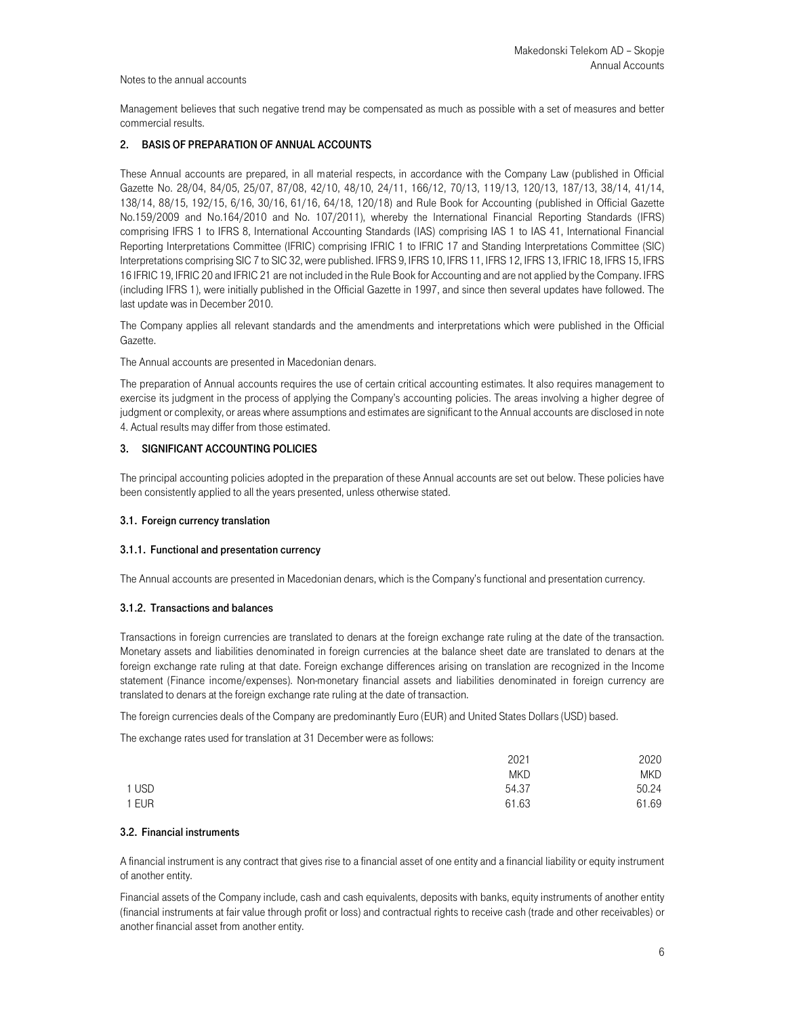Management believes that such negative trend may be compensated as much as possible with a set of measures and better commercial results.

## 2. BASIS OF PREPARATION OF ANNUAL ACCOUNTS

These Annual accounts are prepared, in all material respects, in accordance with the Company Law (published in Official Gazette No. 28/04, 84/05, 25/07, 87/08, 42/10, 48/10, 24/11, 166/12, 70/13, 119/13, 120/13, 187/13, 38/14, 41/14, 138/14, 88/15, 192/15, 6/16, 30/16, 61/16, 64/18, 120/18) and Rule Book for Accounting (published in Official Gazette No.159/2009 and No.164/2010 and No. 107/2011), whereby the International Financial Reporting Standards (IFRS) comprising IFRS 1 to IFRS 8, International Accounting Standards (IAS) comprising IAS 1 to IAS 41, International Financial Reporting Interpretations Committee (IFRIC) comprising IFRIC 1 to IFRIC 17 and Standing Interpretations Committee (SIC) Interpretations comprising SIC 7 to SIC 32, were published. IFRS 9, IFRS 10, IFRS 11, IFRS 12, IFRS 13, IFRIC 18, IFRS 15, IFRS 16 IFRIC 19, IFRIC 20 and IFRIC 21 are not included in the Rule Book for Accounting and are not applied by the Company. IFRS (including IFRS 1), were initially published in the Official Gazette in 1997, and since then several updates have followed. The last update was in December 2010.

The Company applies all relevant standards and the amendments and interpretations which were published in the Official Gazette.

The Annual accounts are presented in Macedonian denars.

The preparation of Annual accounts requires the use of certain critical accounting estimates. It also requires management to exercise its judgment in the process of applying the Company's accounting policies. The areas involving a higher degree of judgment or complexity, or areas where assumptions and estimates are significant to the Annual accounts are disclosed in note 4. Actual results may differ from those estimated.

## 3. SIGNIFICANT ACCOUNTING POLICIES

The principal accounting policies adopted in the preparation of these Annual accounts are set out below. These policies have been consistently applied to all the years presented, unless otherwise stated.

### 3.1. Foreign currency translation

#### 3.1.1. Functional and presentation currency

The Annual accounts are presented in Macedonian denars, which is the Company's functional and presentation currency.

#### 3.1.2. Transactions and balances

Transactions in foreign currencies are translated to denars at the foreign exchange rate ruling at the date of the transaction. Monetary assets and liabilities denominated in foreign currencies at the balance sheet date are translated to denars at the foreign exchange rate ruling at that date. Foreign exchange differences arising on translation are recognized in the Income statement (Finance income/expenses). Non-monetary financial assets and liabilities denominated in foreign currency are translated to denars at the foreign exchange rate ruling at the date of transaction.

The foreign currencies deals of the Company are predominantly Euro (EUR) and United States Dollars (USD) based.

The exchange rates used for translation at 31 December were as follows:

|       | 2021       | 2020       |
|-------|------------|------------|
|       | <b>MKD</b> | <b>MKD</b> |
| 1 USD | 54.37      | 50.24      |
| 1 EUR | 61.63      | 61.69      |

#### 3.2. Financial instruments

A financial instrument is any contract that gives rise to a financial asset of one entity and a financial liability or equity instrument of another entity.

Financial assets of the Company include, cash and cash equivalents, deposits with banks, equity instruments of another entity (financial instruments at fair value through profit or loss) and contractual rights to receive cash (trade and other receivables) or another financial asset from another entity.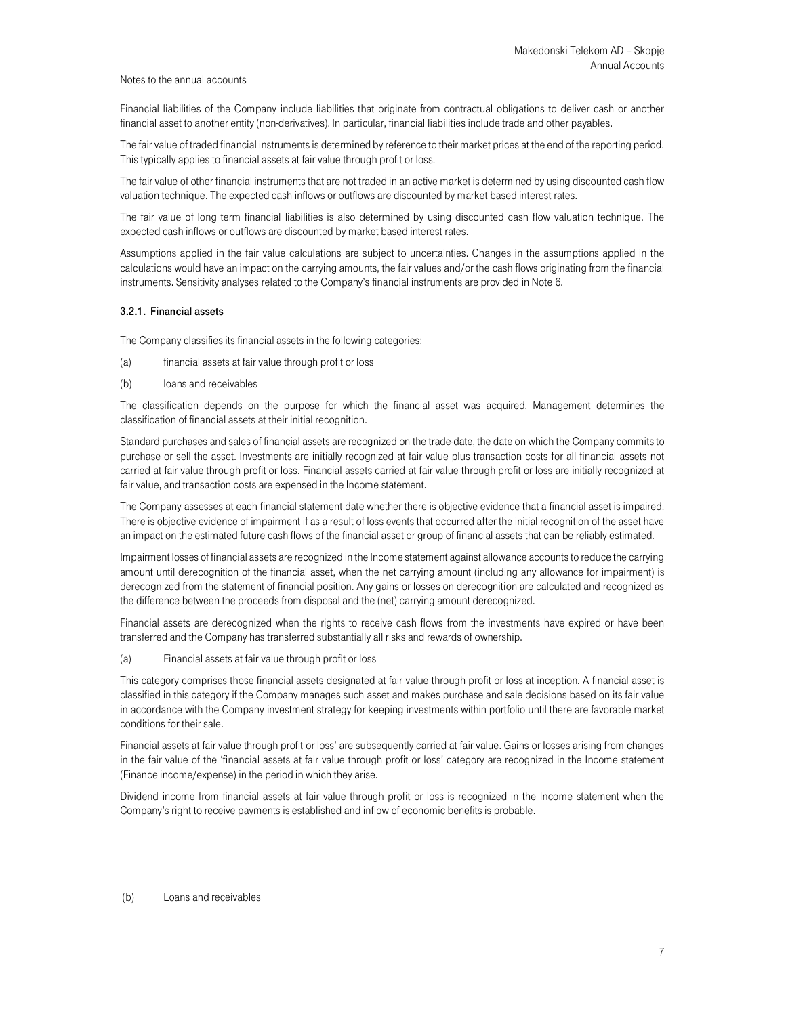Financial liabilities of the Company include liabilities that originate from contractual obligations to deliver cash or another financial asset to another entity (non-derivatives). In particular, financial liabilities include trade and other payables.

The fair value of traded financial instruments is determined by reference to their market prices at the end of the reporting period. This typically applies to financial assets at fair value through profit or loss.

The fair value of other financial instruments that are not traded in an active market is determined by using discounted cash flow valuation technique. The expected cash inflows or outflows are discounted by market based interest rates.

The fair value of long term financial liabilities is also determined by using discounted cash flow valuation technique. The expected cash inflows or outflows are discounted by market based interest rates.

Assumptions applied in the fair value calculations are subject to uncertainties. Changes in the assumptions applied in the calculations would have an impact on the carrying amounts, the fair values and/or the cash flows originating from the financial instruments. Sensitivity analyses related to the Company's financial instruments are provided in Note 6.

#### 3.2.1. Financial assets

The Company classifies its financial assets in the following categories:

- (a) financial assets at fair value through profit or loss
- (b) loans and receivables

The classification depends on the purpose for which the financial asset was acquired. Management determines the classification of financial assets at their initial recognition.

Standard purchases and sales of financial assets are recognized on the trade-date, the date on which the Company commits to purchase or sell the asset. Investments are initially recognized at fair value plus transaction costs for all financial assets not carried at fair value through profit or loss. Financial assets carried at fair value through profit or loss are initially recognized at fair value, and transaction costs are expensed in the Income statement.

The Company assesses at each financial statement date whether there is objective evidence that a financial asset is impaired. There is objective evidence of impairment if as a result of loss events that occurred after the initial recognition of the asset have an impact on the estimated future cash flows of the financial asset or group of financial assets that can be reliably estimated.

Impairment losses of financial assets are recognized in the Income statement against allowance accounts to reduce the carrying amount until derecognition of the financial asset, when the net carrying amount (including any allowance for impairment) is derecognized from the statement of financial position. Any gains or losses on derecognition are calculated and recognized as the difference between the proceeds from disposal and the (net) carrying amount derecognized.

Financial assets are derecognized when the rights to receive cash flows from the investments have expired or have been transferred and the Company has transferred substantially all risks and rewards of ownership.

#### (a) Financial assets at fair value through profit or loss

This category comprises those financial assets designated at fair value through profit or loss at inception. A financial asset is classified in this category if the Company manages such asset and makes purchase and sale decisions based on its fair value in accordance with the Company investment strategy for keeping investments within portfolio until there are favorable market conditions for their sale.

Financial assets at fair value through profit or loss' are subsequently carried at fair value. Gains or losses arising from changes in the fair value of the 'financial assets at fair value through profit or loss' category are recognized in the Income statement (Finance income/expense) in the period in which they arise.

Dividend income from financial assets at fair value through profit or loss is recognized in the Income statement when the Company's right to receive payments is established and inflow of economic benefits is probable.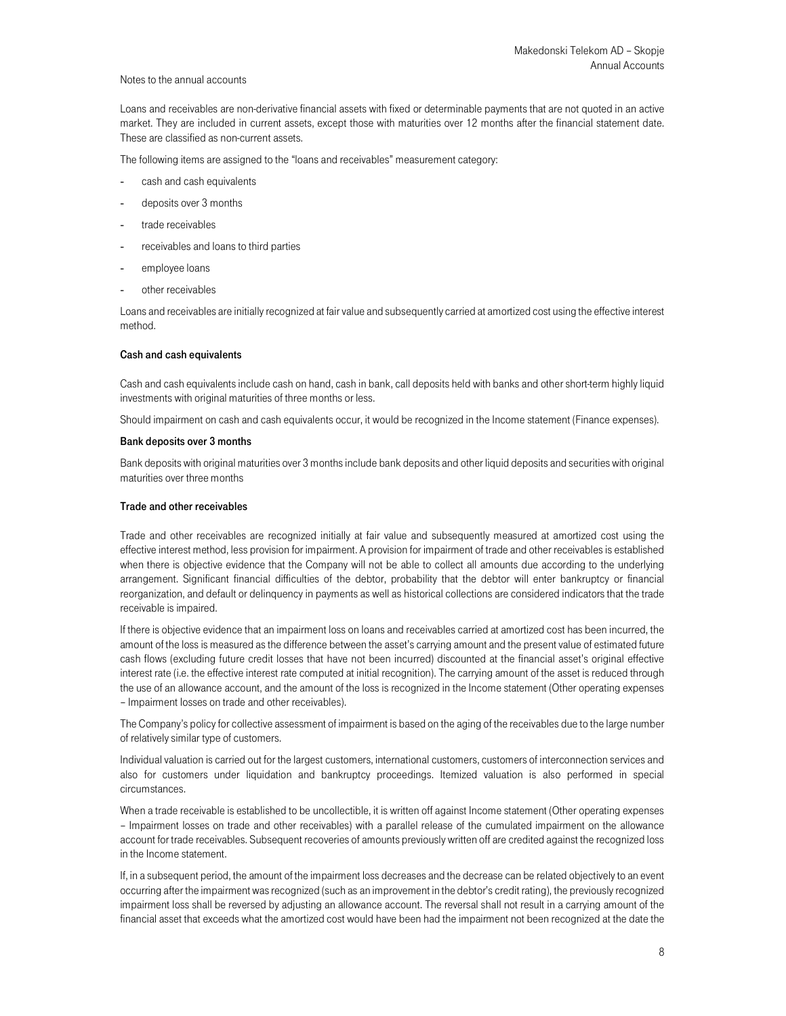Loans and receivables are non-derivative financial assets with fixed or determinable payments that are not quoted in an active market. They are included in current assets, except those with maturities over 12 months after the financial statement date. These are classified as non-current assets.

The following items are assigned to the "loans and receivables" measurement category:

- cash and cash equivalents
- deposits over 3 months
- trade receivables
- receivables and loans to third parties
- employee loans
- other receivables

Loans and receivables are initially recognized at fair value and subsequently carried at amortized cost using the effective interest method.

#### Cash and cash equivalents

Cash and cash equivalents include cash on hand, cash in bank, call deposits held with banks and other short-term highly liquid investments with original maturities of three months or less.

Should impairment on cash and cash equivalents occur, it would be recognized in the Income statement (Finance expenses).

#### Bank deposits over 3 months

Bank deposits with original maturities over 3 months include bank deposits and other liquid deposits and securities with original maturities over three months

#### Trade and other receivables

Trade and other receivables are recognized initially at fair value and subsequently measured at amortized cost using the effective interest method, less provision for impairment. A provision for impairment of trade and other receivables is established when there is objective evidence that the Company will not be able to collect all amounts due according to the underlying arrangement. Significant financial difficulties of the debtor, probability that the debtor will enter bankruptcy or financial reorganization, and default or delinquency in payments as well as historical collections are considered indicators that the trade receivable is impaired.

If there is objective evidence that an impairment loss on loans and receivables carried at amortized cost has been incurred, the amount of the loss is measured as the difference between the asset's carrying amount and the present value of estimated future cash flows (excluding future credit losses that have not been incurred) discounted at the financial asset's original effective interest rate (i.e. the effective interest rate computed at initial recognition). The carrying amount of the asset is reduced through the use of an allowance account, and the amount of the loss is recognized in the Income statement (Other operating expenses – Impairment losses on trade and other receivables).

The Company's policy for collective assessment of impairment is based on the aging of the receivables due to the large number of relatively similar type of customers.

Individual valuation is carried out for the largest customers, international customers, customers of interconnection services and also for customers under liquidation and bankruptcy proceedings. Itemized valuation is also performed in special circumstances.

When a trade receivable is established to be uncollectible, it is written off against Income statement (Other operating expenses – Impairment losses on trade and other receivables) with a parallel release of the cumulated impairment on the allowance account for trade receivables. Subsequent recoveries of amounts previously written off are credited against the recognized loss in the Income statement.

If, in a subsequent period, the amount of the impairment loss decreases and the decrease can be related objectively to an event occurring after the impairment was recognized (such as an improvement in the debtor's credit rating), the previously recognized impairment loss shall be reversed by adjusting an allowance account. The reversal shall not result in a carrying amount of the financial asset that exceeds what the amortized cost would have been had the impairment not been recognized at the date the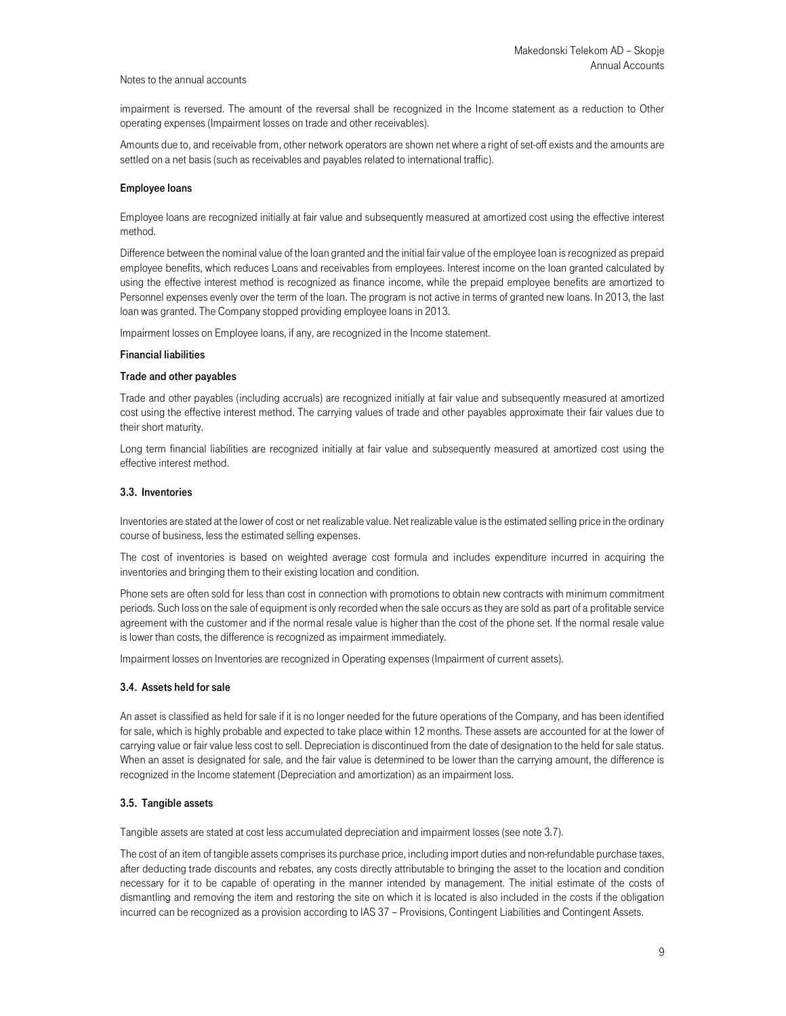impairment is reversed. The amount of the reversal shall be recognized in the Income statement as a reduction to Other operating expenses (Impairment losses on trade and other receivables).

Amounts due to, and receivable from, other network operators are shown net where a right of set-off exists and the amounts are settled on a net basis (such as receivables and payables related to international traffic).

#### Employee loans

Employee loans are recognized initially at fair value and subsequently measured at amortized cost using the effective interest method.

Difference between the nominal value of the loan granted and the initial fair value of the employee loan is recognized as prepaid employee benefits, which reduces Loans and receivables from employees. Interest income on the loan granted calculated by using the effective interest method is recognized as finance income, while the prepaid employee benefits are amortized to Personnel expenses evenly over the term of the loan. The program is not active in terms of granted new loans. In 2013, the last loan was granted. The Company stopped providing employee loans in 2013.

Impairment losses on Employee loans, if any, are recognized in the Income statement.

#### Financial liabilities

#### Trade and other payables

Trade and other payables (including accruals) are recognized initially at fair value and subsequently measured at amortized cost using the effective interest method. The carrying values of trade and other payables approximate their fair values due to their short maturity.

Long term financial liabilities are recognized initially at fair value and subsequently measured at amortized cost using the effective interest method.

#### 3.3. Inventories

Inventories are stated at the lower of cost or net realizable value. Net realizable value is the estimated selling price in the ordinary course of business, less the estimated selling expenses.

The cost of inventories is based on weighted average cost formula and includes expenditure incurred in acquiring the inventories and bringing them to their existing location and condition.

Phone sets are often sold for less than cost in connection with promotions to obtain new contracts with minimum commitment periods. Such loss on the sale of equipment is only recorded when the sale occurs as they are sold as part of a profitable service agreement with the customer and if the normal resale value is higher than the cost of the phone set. If the normal resale value is lower than costs, the difference is recognized as impairment immediately.

Impairment losses on Inventories are recognized in Operating expenses (Impairment of current assets).

#### 3.4. Assets held for sale

An asset is classified as held for sale if it is no longer needed for the future operations of the Company, and has been identified for sale, which is highly probable and expected to take place within 12 months. These assets are accounted for at the lower of carrying value or fair value less cost to sell. Depreciation is discontinued from the date of designation to the held for sale status. When an asset is designated for sale, and the fair value is determined to be lower than the carrying amount, the difference is recognized in the Income statement (Depreciation and amortization) as an impairment loss.

#### 3.5. Tangible assets

Tangible assets are stated at cost less accumulated depreciation and impairment losses (see note 3.7).

The cost of an item of tangible assets comprises its purchase price, including import duties and non-refundable purchase taxes, after deducting trade discounts and rebates, any costs directly attributable to bringing the asset to the location and condition necessary for it to be capable of operating in the manner intended by management. The initial estimate of the costs of dismantling and removing the item and restoring the site on which it is located is also included in the costs if the obligation incurred can be recognized as a provision according to IAS 37 – Provisions, Contingent Liabilities and Contingent Assets.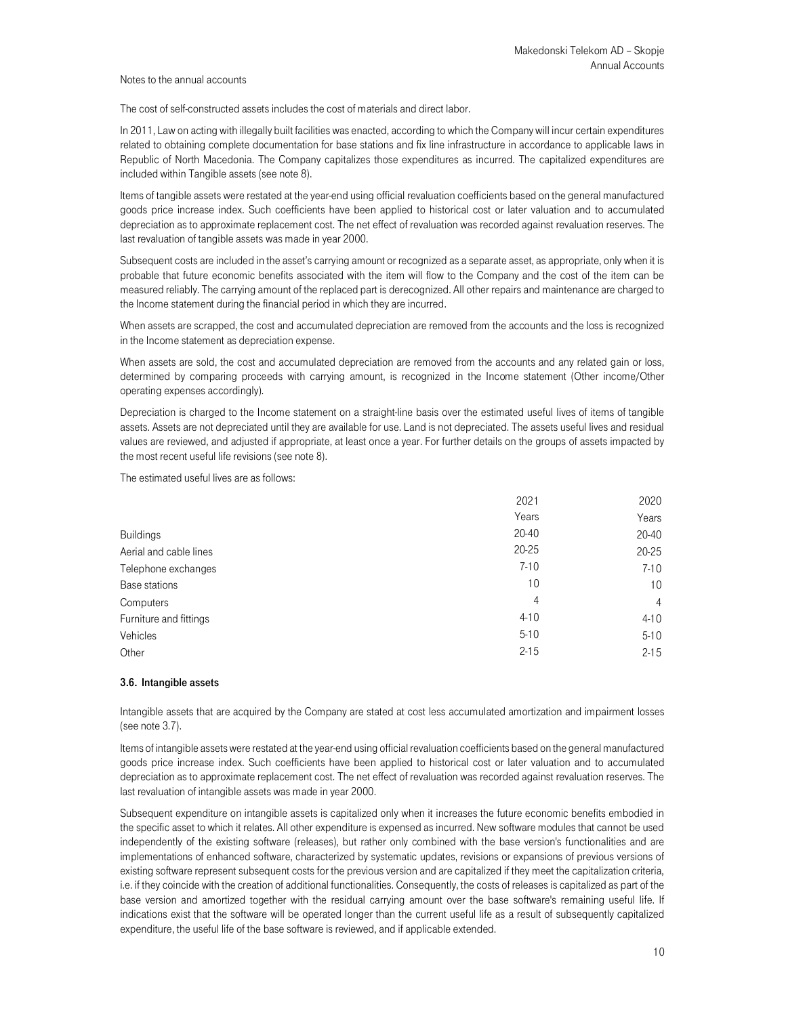The cost of self-constructed assets includes the cost of materials and direct labor.

In 2011, Law on acting with illegally built facilities was enacted, according to which the Company will incur certain expenditures related to obtaining complete documentation for base stations and fix line infrastructure in accordance to applicable laws in Republic of North Macedonia. The Company capitalizes those expenditures as incurred. The capitalized expenditures are included within Tangible assets (see note 8).

Items of tangible assets were restated at the year-end using official revaluation coefficients based on the general manufactured goods price increase index. Such coefficients have been applied to historical cost or later valuation and to accumulated depreciation as to approximate replacement cost. The net effect of revaluation was recorded against revaluation reserves. The last revaluation of tangible assets was made in year 2000.

Subsequent costs are included in the asset's carrying amount or recognized as a separate asset, as appropriate, only when it is probable that future economic benefits associated with the item will flow to the Company and the cost of the item can be measured reliably. The carrying amount of the replaced part is derecognized. All other repairs and maintenance are charged to the Income statement during the financial period in which they are incurred.

When assets are scrapped, the cost and accumulated depreciation are removed from the accounts and the loss is recognized in the Income statement as depreciation expense.

When assets are sold, the cost and accumulated depreciation are removed from the accounts and any related gain or loss, determined by comparing proceeds with carrying amount, is recognized in the Income statement (Other income/Other operating expenses accordingly).

Depreciation is charged to the Income statement on a straight-line basis over the estimated useful lives of items of tangible assets. Assets are not depreciated until they are available for use. Land is not depreciated. The assets useful lives and residual values are reviewed, and adjusted if appropriate, at least once a year. For further details on the groups of assets impacted by the most recent useful life revisions (see note 8).

The estimated useful lives are as follows:

| Years                               | Years               |
|-------------------------------------|---------------------|
| $20 - 40$<br><b>Buildings</b>       | 20-40               |
| $20 - 25$<br>Aerial and cable lines | 20-25               |
| $7 - 10$<br>Telephone exchanges     | $7 - 10$            |
| 10<br>Base stations                 | 10 <sup>°</sup>     |
| Computers                           | 4<br>$\overline{4}$ |
| $4 - 10$<br>Furniture and fittings  | $4 - 10$            |
| $5 - 10$<br>Vehicles                | $5 - 10$            |
| $2 - 15$<br>Other                   | $2 - 15$            |

## 3.6. Intangible assets

Intangible assets that are acquired by the Company are stated at cost less accumulated amortization and impairment losses (see note 3.7).

Items of intangible assets were restated at the year-end using official revaluation coefficients based on the general manufactured goods price increase index. Such coefficients have been applied to historical cost or later valuation and to accumulated depreciation as to approximate replacement cost. The net effect of revaluation was recorded against revaluation reserves. The last revaluation of intangible assets was made in year 2000.

Subsequent expenditure on intangible assets is capitalized only when it increases the future economic benefits embodied in the specific asset to which it relates. All other expenditure is expensed as incurred. New software modules that cannot be used independently of the existing software (releases), but rather only combined with the base version's functionalities and are implementations of enhanced software, characterized by systematic updates, revisions or expansions of previous versions of existing software represent subsequent costs for the previous version and are capitalized if they meet the capitalization criteria, i.e. if they coincide with the creation of additional functionalities. Consequently, the costs of releases is capitalized as part of the base version and amortized together with the residual carrying amount over the base software's remaining useful life. If indications exist that the software will be operated longer than the current useful life as a result of subsequently capitalized expenditure, the useful life of the base software is reviewed, and if applicable extended.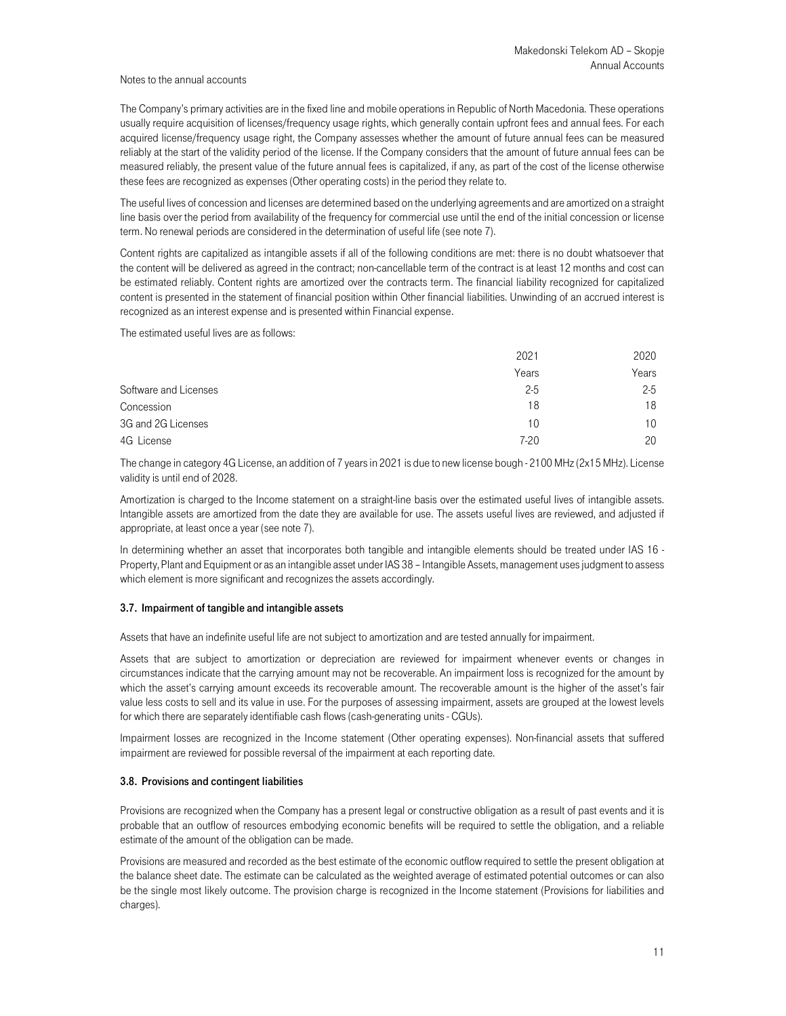The Company's primary activities are in the fixed line and mobile operations in Republic of North Macedonia. These operations usually require acquisition of licenses/frequency usage rights, which generally contain upfront fees and annual fees. For each acquired license/frequency usage right, the Company assesses whether the amount of future annual fees can be measured reliably at the start of the validity period of the license. If the Company considers that the amount of future annual fees can be measured reliably, the present value of the future annual fees is capitalized, if any, as part of the cost of the license otherwise these fees are recognized as expenses (Other operating costs) in the period they relate to.

The useful lives of concession and licenses are determined based on the underlying agreements and are amortized on a straight line basis over the period from availability of the frequency for commercial use until the end of the initial concession or license term. No renewal periods are considered in the determination of useful life (see note 7).

Content rights are capitalized as intangible assets if all of the following conditions are met: there is no doubt whatsoever that the content will be delivered as agreed in the contract; non-cancellable term of the contract is at least 12 months and cost can be estimated reliably. Content rights are amortized over the contracts term. The financial liability recognized for capitalized content is presented in the statement of financial position within Other financial liabilities. Unwinding of an accrued interest is recognized as an interest expense and is presented within Financial expense.

The estimated useful lives are as follows:

|                       | 2021    | 2020    |
|-----------------------|---------|---------|
|                       | Years   | Years   |
| Software and Licenses | $2 - 5$ | $2 - 5$ |
| Concession            | 18      | 18      |
| 3G and 2G Licenses    | 10      | 10      |
| 4G License            | $7-20$  | 20      |

The change in category 4G License, an addition of 7 years in 2021 is due to new license bough - 2100 MHz (2x15 MHz). License validity is until end of 2028.

Amortization is charged to the Income statement on a straight-line basis over the estimated useful lives of intangible assets. Intangible assets are amortized from the date they are available for use. The assets useful lives are reviewed, and adjusted if appropriate, at least once a year (see note 7).

In determining whether an asset that incorporates both tangible and intangible elements should be treated under IAS 16 - Property, Plant and Equipment or as an intangible asset under IAS 38 – Intangible Assets, management uses judgment to assess which element is more significant and recognizes the assets accordingly.

#### 3.7. Impairment of tangible and intangible assets

Assets that have an indefinite useful life are not subject to amortization and are tested annually for impairment.

Assets that are subject to amortization or depreciation are reviewed for impairment whenever events or changes in circumstances indicate that the carrying amount may not be recoverable. An impairment loss is recognized for the amount by which the asset's carrying amount exceeds its recoverable amount. The recoverable amount is the higher of the asset's fair value less costs to sell and its value in use. For the purposes of assessing impairment, assets are grouped at the lowest levels for which there are separately identifiable cash flows (cash-generating units - CGUs).

Impairment losses are recognized in the Income statement (Other operating expenses). Non-financial assets that suffered impairment are reviewed for possible reversal of the impairment at each reporting date.

#### 3.8. Provisions and contingent liabilities

Provisions are recognized when the Company has a present legal or constructive obligation as a result of past events and it is probable that an outflow of resources embodying economic benefits will be required to settle the obligation, and a reliable estimate of the amount of the obligation can be made.

Provisions are measured and recorded as the best estimate of the economic outflow required to settle the present obligation at the balance sheet date. The estimate can be calculated as the weighted average of estimated potential outcomes or can also be the single most likely outcome. The provision charge is recognized in the Income statement (Provisions for liabilities and charges).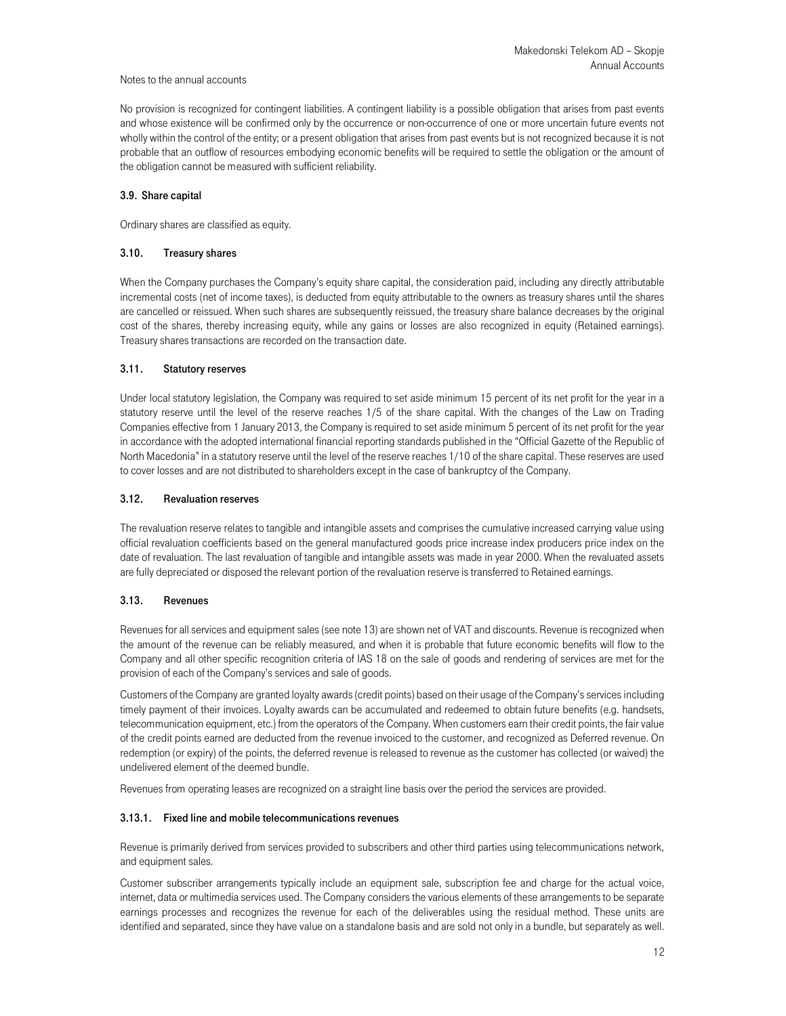No provision is recognized for contingent liabilities. A contingent liability is a possible obligation that arises from past events and whose existence will be confirmed only by the occurrence or non-occurrence of one or more uncertain future events not wholly within the control of the entity; or a present obligation that arises from past events but is not recognized because it is not probable that an outflow of resources embodying economic benefits will be required to settle the obligation or the amount of the obligation cannot be measured with sufficient reliability.

## 3.9. Share capital

Ordinary shares are classified as equity.

## 3.10. Treasury shares

When the Company purchases the Company's equity share capital, the consideration paid, including any directly attributable incremental costs (net of income taxes), is deducted from equity attributable to the owners as treasury shares until the shares are cancelled or reissued. When such shares are subsequently reissued, the treasury share balance decreases by the original cost of the shares, thereby increasing equity, while any gains or losses are also recognized in equity (Retained earnings). Treasury shares transactions are recorded on the transaction date.

## 3.11. Statutory reserves

Under local statutory legislation, the Company was required to set aside minimum 15 percent of its net profit for the year in a statutory reserve until the level of the reserve reaches 1/5 of the share capital. With the changes of the Law on Trading Companies effective from 1 January 2013, the Company is required to set aside minimum 5 percent of its net profit for the year in accordance with the adopted international financial reporting standards published in the "Official Gazette of the Republic of North Macedonia" in a statutory reserve until the level of the reserve reaches 1/10 of the share capital. These reserves are used to cover losses and are not distributed to shareholders except in the case of bankruptcy of the Company.

## 3.12. Revaluation reserves

The revaluation reserve relates to tangible and intangible assets and comprises the cumulative increased carrying value using official revaluation coefficients based on the general manufactured goods price increase index producers price index on the date of revaluation. The last revaluation of tangible and intangible assets was made in year 2000. When the revaluated assets are fully depreciated or disposed the relevant portion of the revaluation reserve is transferred to Retained earnings.

## 3.13. Revenues

Revenues for all services and equipment sales (see note 13) are shown net of VAT and discounts. Revenue is recognized when the amount of the revenue can be reliably measured, and when it is probable that future economic benefits will flow to the Company and all other specific recognition criteria of IAS 18 on the sale of goods and rendering of services are met for the provision of each of the Company's services and sale of goods.

Customers of the Company are granted loyalty awards (credit points) based on their usage of the Company's services including timely payment of their invoices. Loyalty awards can be accumulated and redeemed to obtain future benefits (e.g. handsets, telecommunication equipment, etc.) from the operators of the Company. When customers earn their credit points, the fair value of the credit points earned are deducted from the revenue invoiced to the customer, and recognized as Deferred revenue. On redemption (or expiry) of the points, the deferred revenue is released to revenue as the customer has collected (or waived) the undelivered element of the deemed bundle.

Revenues from operating leases are recognized on a straight line basis over the period the services are provided.

# 3.13.1. Fixed line and mobile telecommunications revenues

Revenue is primarily derived from services provided to subscribers and other third parties using telecommunications network, and equipment sales.

Customer subscriber arrangements typically include an equipment sale, subscription fee and charge for the actual voice, internet, data or multimedia services used. The Company considers the various elements of these arrangements to be separate earnings processes and recognizes the revenue for each of the deliverables using the residual method. These units are identified and separated, since they have value on a standalone basis and are sold not only in a bundle, but separately as well.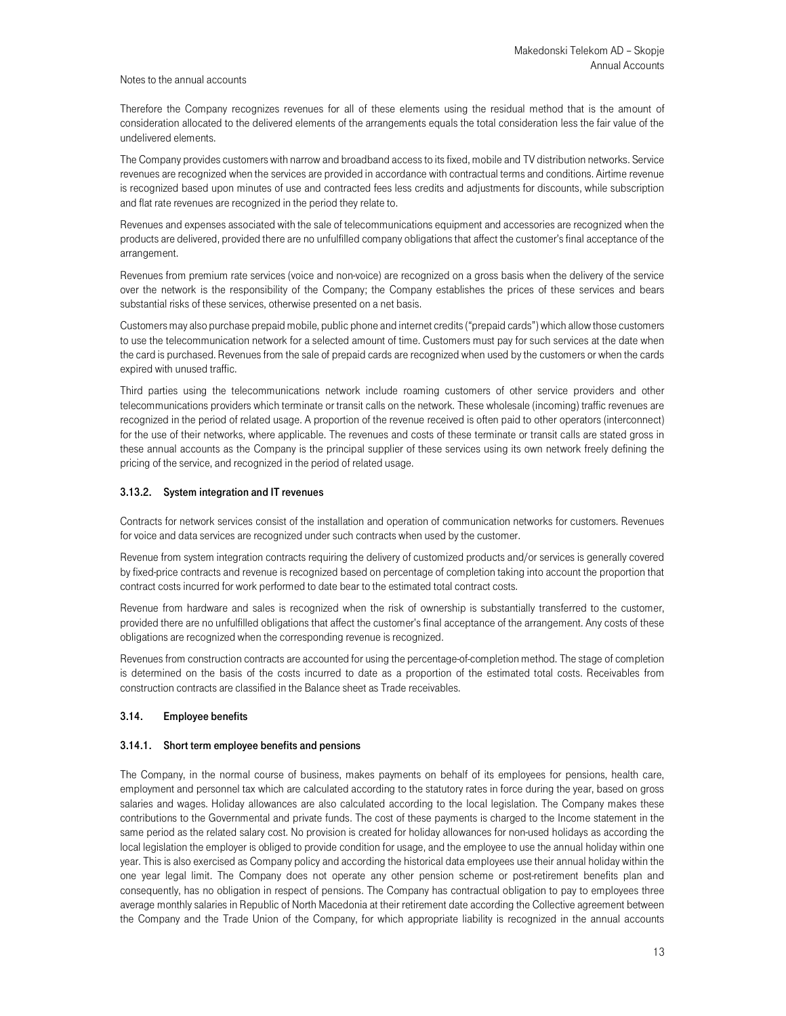Therefore the Company recognizes revenues for all of these elements using the residual method that is the amount of consideration allocated to the delivered elements of the arrangements equals the total consideration less the fair value of the undelivered elements.

The Company provides customers with narrow and broadband access to its fixed, mobile and TV distribution networks. Service revenues are recognized when the services are provided in accordance with contractual terms and conditions. Airtime revenue is recognized based upon minutes of use and contracted fees less credits and adjustments for discounts, while subscription and flat rate revenues are recognized in the period they relate to.

Revenues and expenses associated with the sale of telecommunications equipment and accessories are recognized when the products are delivered, provided there are no unfulfilled company obligations that affect the customer's final acceptance of the arrangement.

Revenues from premium rate services (voice and non-voice) are recognized on a gross basis when the delivery of the service over the network is the responsibility of the Company; the Company establishes the prices of these services and bears substantial risks of these services, otherwise presented on a net basis.

Customers may also purchase prepaid mobile, public phone and internet credits ("prepaid cards") which allow those customers to use the telecommunication network for a selected amount of time. Customers must pay for such services at the date when the card is purchased. Revenues from the sale of prepaid cards are recognized when used by the customers or when the cards expired with unused traffic.

Third parties using the telecommunications network include roaming customers of other service providers and other telecommunications providers which terminate or transit calls on the network. These wholesale (incoming) traffic revenues are recognized in the period of related usage. A proportion of the revenue received is often paid to other operators (interconnect) for the use of their networks, where applicable. The revenues and costs of these terminate or transit calls are stated gross in these annual accounts as the Company is the principal supplier of these services using its own network freely defining the pricing of the service, and recognized in the period of related usage.

#### 3.13.2. System integration and IT revenues

Contracts for network services consist of the installation and operation of communication networks for customers. Revenues for voice and data services are recognized under such contracts when used by the customer.

Revenue from system integration contracts requiring the delivery of customized products and/or services is generally covered by fixed-price contracts and revenue is recognized based on percentage of completion taking into account the proportion that contract costs incurred for work performed to date bear to the estimated total contract costs.

Revenue from hardware and sales is recognized when the risk of ownership is substantially transferred to the customer, provided there are no unfulfilled obligations that affect the customer's final acceptance of the arrangement. Any costs of these obligations are recognized when the corresponding revenue is recognized.

Revenues from construction contracts are accounted for using the percentage-of-completion method. The stage of completion is determined on the basis of the costs incurred to date as a proportion of the estimated total costs. Receivables from construction contracts are classified in the Balance sheet as Trade receivables.

## 3.14. Employee benefits

#### 3.14.1. Short term employee benefits and pensions

The Company, in the normal course of business, makes payments on behalf of its employees for pensions, health care, employment and personnel tax which are calculated according to the statutory rates in force during the year, based on gross salaries and wages. Holiday allowances are also calculated according to the local legislation. The Company makes these contributions to the Governmental and private funds. The cost of these payments is charged to the Income statement in the same period as the related salary cost. No provision is created for holiday allowances for non-used holidays as according the local legislation the employer is obliged to provide condition for usage, and the employee to use the annual holiday within one year. This is also exercised as Company policy and according the historical data employees use their annual holiday within the one year legal limit. The Company does not operate any other pension scheme or post-retirement benefits plan and consequently, has no obligation in respect of pensions. The Company has contractual obligation to pay to employees three average monthly salaries in Republic of North Macedonia at their retirement date according the Collective agreement between the Company and the Trade Union of the Company, for which appropriate liability is recognized in the annual accounts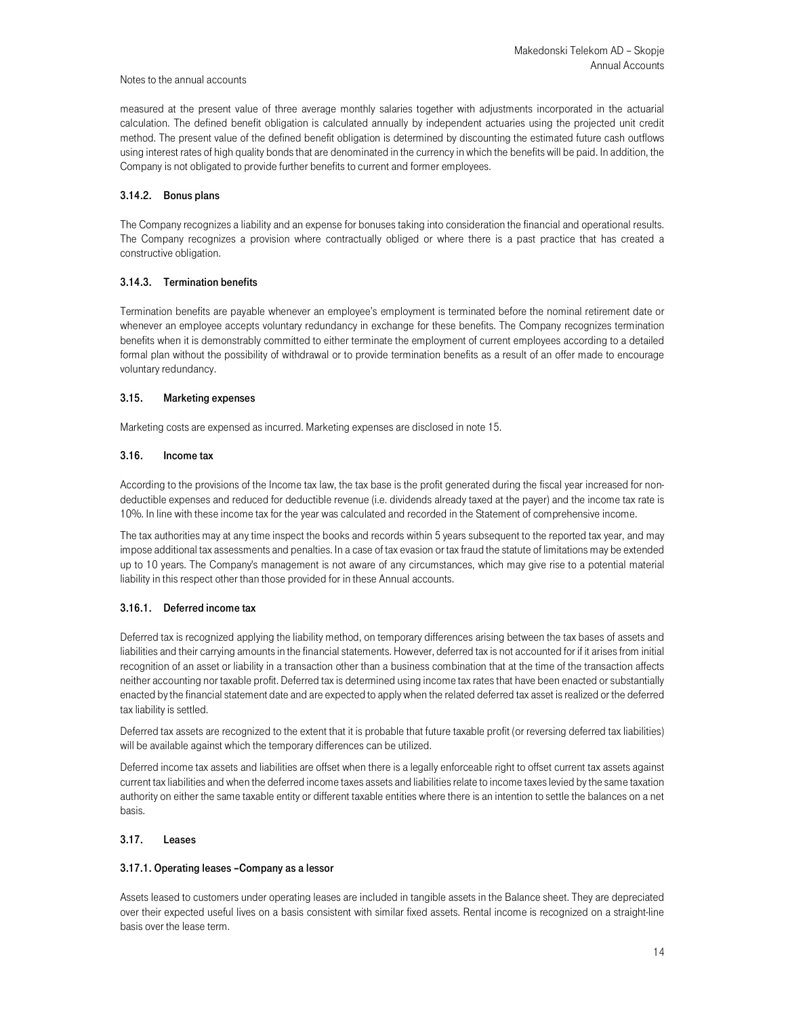measured at the present value of three average monthly salaries together with adjustments incorporated in the actuarial calculation. The defined benefit obligation is calculated annually by independent actuaries using the projected unit credit method. The present value of the defined benefit obligation is determined by discounting the estimated future cash outflows using interest rates of high quality bonds that are denominated in the currency in which the benefits will be paid. In addition, the Company is not obligated to provide further benefits to current and former employees.

#### 3.14.2. Bonus plans

The Company recognizes a liability and an expense for bonuses taking into consideration the financial and operational results. The Company recognizes a provision where contractually obliged or where there is a past practice that has created a constructive obligation.

## 3.14.3. Termination benefits

Termination benefits are payable whenever an employee's employment is terminated before the nominal retirement date or whenever an employee accepts voluntary redundancy in exchange for these benefits. The Company recognizes termination benefits when it is demonstrably committed to either terminate the employment of current employees according to a detailed formal plan without the possibility of withdrawal or to provide termination benefits as a result of an offer made to encourage voluntary redundancy.

## 3.15. Marketing expenses

Marketing costs are expensed as incurred. Marketing expenses are disclosed in note 15.

#### 3.16. Income tax

According to the provisions of the Income tax law, the tax base is the profit generated during the fiscal year increased for nondeductible expenses and reduced for deductible revenue (i.e. dividends already taxed at the payer) and the income tax rate is 10%. In line with these income tax for the year was calculated and recorded in the Statement of comprehensive income.

The tax authorities may at any time inspect the books and records within 5 years subsequent to the reported tax year, and may impose additional tax assessments and penalties. In a case of tax evasion or tax fraud the statute of limitations may be extended up to 10 years. The Company's management is not aware of any circumstances, which may give rise to a potential material liability in this respect other than those provided for in these Annual accounts.

#### 3.16.1. Deferred income tax

Deferred tax is recognized applying the liability method, on temporary differences arising between the tax bases of assets and liabilities and their carrying amounts in the financial statements. However, deferred tax is not accounted for if it arises from initial recognition of an asset or liability in a transaction other than a business combination that at the time of the transaction affects neither accounting nor taxable profit. Deferred tax is determined using income tax rates that have been enacted or substantially enacted by the financial statement date and are expected to apply when the related deferred tax asset is realized or the deferred tax liability is settled.

Deferred tax assets are recognized to the extent that it is probable that future taxable profit (or reversing deferred tax liabilities) will be available against which the temporary differences can be utilized.

Deferred income tax assets and liabilities are offset when there is a legally enforceable right to offset current tax assets against current tax liabilities and when the deferred income taxes assets and liabilities relate to income taxes levied by the same taxation authority on either the same taxable entity or different taxable entities where there is an intention to settle the balances on a net basis.

## 3.17. Leases

#### 3.17.1. Operating leases –Company as a lessor

Assets leased to customers under operating leases are included in tangible assets in the Balance sheet. They are depreciated over their expected useful lives on a basis consistent with similar fixed assets. Rental income is recognized on a straight-line basis over the lease term.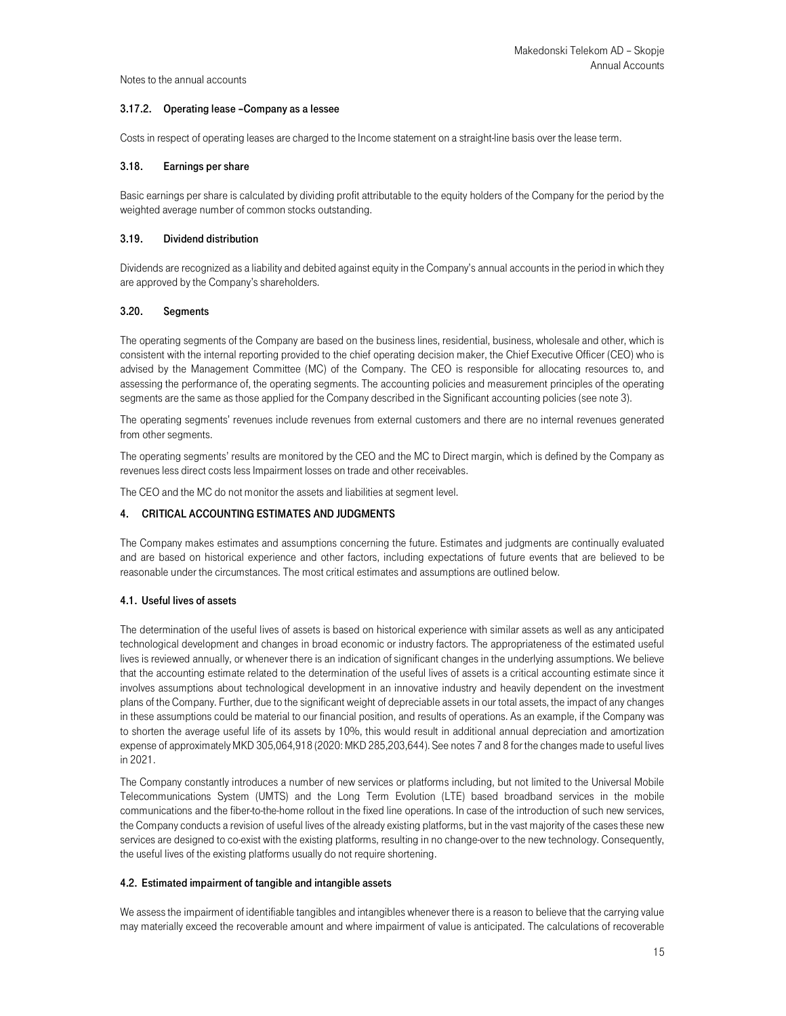#### 3.17.2. Operating lease –Company as a lessee

Costs in respect of operating leases are charged to the Income statement on a straight-line basis over the lease term.

## 3.18. Earnings per share

Basic earnings per share is calculated by dividing profit attributable to the equity holders of the Company for the period by the weighted average number of common stocks outstanding.

#### 3.19. Dividend distribution

Dividends are recognized as a liability and debited against equity in the Company's annual accounts in the period in which they are approved by the Company's shareholders.

#### 3.20. Segments

The operating segments of the Company are based on the business lines, residential, business, wholesale and other, which is consistent with the internal reporting provided to the chief operating decision maker, the Chief Executive Officer (CEO) who is advised by the Management Committee (MC) of the Company. The CEO is responsible for allocating resources to, and assessing the performance of, the operating segments. The accounting policies and measurement principles of the operating segments are the same as those applied for the Company described in the Significant accounting policies (see note 3).

The operating segments' revenues include revenues from external customers and there are no internal revenues generated from other segments.

The operating segments' results are monitored by the CEO and the MC to Direct margin, which is defined by the Company as revenues less direct costs less Impairment losses on trade and other receivables.

The CEO and the MC do not monitor the assets and liabilities at segment level.

## 4. CRITICAL ACCOUNTING ESTIMATES AND JUDGMENTS

The Company makes estimates and assumptions concerning the future. Estimates and judgments are continually evaluated and are based on historical experience and other factors, including expectations of future events that are believed to be reasonable under the circumstances. The most critical estimates and assumptions are outlined below.

## 4.1. Useful lives of assets

The determination of the useful lives of assets is based on historical experience with similar assets as well as any anticipated technological development and changes in broad economic or industry factors. The appropriateness of the estimated useful lives is reviewed annually, or whenever there is an indication of significant changes in the underlying assumptions. We believe that the accounting estimate related to the determination of the useful lives of assets is a critical accounting estimate since it involves assumptions about technological development in an innovative industry and heavily dependent on the investment plans of the Company. Further, due to the significant weight of depreciable assets in our total assets, the impact of any changes in these assumptions could be material to our financial position, and results of operations. As an example, if the Company was to shorten the average useful life of its assets by 10%, this would result in additional annual depreciation and amortization expense of approximately MKD 305,064,918 (2020: MKD 285,203,644). See notes 7 and 8 for the changes made to useful lives in 2021.

The Company constantly introduces a number of new services or platforms including, but not limited to the Universal Mobile Telecommunications System (UMTS) and the Long Term Evolution (LTE) based broadband services in the mobile communications and the fiber-to-the-home rollout in the fixed line operations. In case of the introduction of such new services, the Company conducts a revision of useful lives of the already existing platforms, but in the vast majority of the cases these new services are designed to co-exist with the existing platforms, resulting in no change-over to the new technology. Consequently, the useful lives of the existing platforms usually do not require shortening.

#### 4.2. Estimated impairment of tangible and intangible assets

We assess the impairment of identifiable tangibles and intangibles whenever there is a reason to believe that the carrying value may materially exceed the recoverable amount and where impairment of value is anticipated. The calculations of recoverable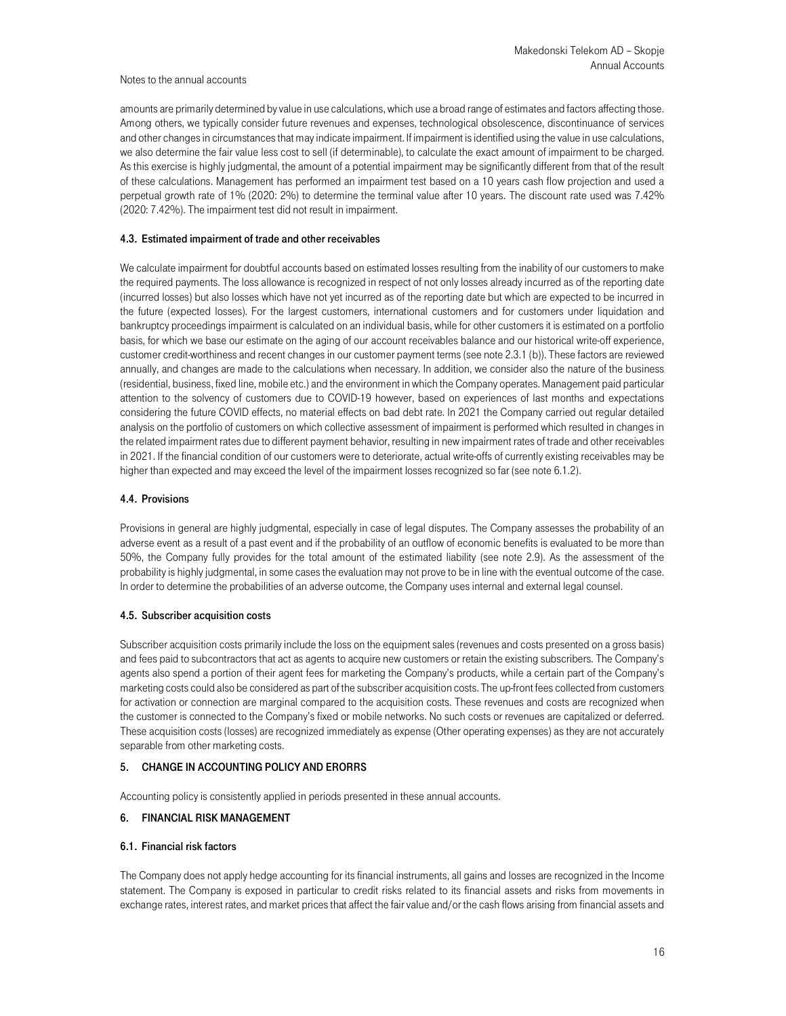amounts are primarily determined by value in use calculations, which use a broad range of estimates and factors affecting those. Among others, we typically consider future revenues and expenses, technological obsolescence, discontinuance of services and other changes in circumstances that may indicate impairment. If impairment is identified using the value in use calculations, we also determine the fair value less cost to sell (if determinable), to calculate the exact amount of impairment to be charged. As this exercise is highly judgmental, the amount of a potential impairment may be significantly different from that of the result of these calculations. Management has performed an impairment test based on a 10 years cash flow projection and used a perpetual growth rate of 1% (2020: 2%) to determine the terminal value after 10 years. The discount rate used was 7.42% (2020: 7.42%). The impairment test did not result in impairment.

## 4.3. Estimated impairment of trade and other receivables

We calculate impairment for doubtful accounts based on estimated losses resulting from the inability of our customers to make the required payments. The loss allowance is recognized in respect of not only losses already incurred as of the reporting date (incurred losses) but also losses which have not yet incurred as of the reporting date but which are expected to be incurred in the future (expected losses). For the largest customers, international customers and for customers under liquidation and bankruptcy proceedings impairment is calculated on an individual basis, while for other customers it is estimated on a portfolio basis, for which we base our estimate on the aging of our account receivables balance and our historical write-off experience, customer credit-worthiness and recent changes in our customer payment terms (see note 2.3.1 (b)). These factors are reviewed annually, and changes are made to the calculations when necessary. In addition, we consider also the nature of the business (residential, business, fixed line, mobile etc.) and the environment in which the Company operates. Management paid particular attention to the solvency of customers due to COVID-19 however, based on experiences of last months and expectations considering the future COVID effects, no material effects on bad debt rate. In 2021 the Company carried out regular detailed analysis on the portfolio of customers on which collective assessment of impairment is performed which resulted in changes in the related impairment rates due to different payment behavior, resulting in new impairment rates of trade and other receivables in 2021. If the financial condition of our customers were to deteriorate, actual write-offs of currently existing receivables may be higher than expected and may exceed the level of the impairment losses recognized so far (see note 6.1.2).

## 4.4. Provisions

Provisions in general are highly judgmental, especially in case of legal disputes. The Company assesses the probability of an adverse event as a result of a past event and if the probability of an outflow of economic benefits is evaluated to be more than 50%, the Company fully provides for the total amount of the estimated liability (see note 2.9). As the assessment of the probability is highly judgmental, in some cases the evaluation may not prove to be in line with the eventual outcome of the case. In order to determine the probabilities of an adverse outcome, the Company uses internal and external legal counsel.

## 4.5. Subscriber acquisition costs

Subscriber acquisition costs primarily include the loss on the equipment sales (revenues and costs presented on a gross basis) and fees paid to subcontractors that act as agents to acquire new customers or retain the existing subscribers. The Company's agents also spend a portion of their agent fees for marketing the Company's products, while a certain part of the Company's marketing costs could also be considered as part of the subscriber acquisition costs. The up-front fees collected from customers for activation or connection are marginal compared to the acquisition costs. These revenues and costs are recognized when the customer is connected to the Company's fixed or mobile networks. No such costs or revenues are capitalized or deferred. These acquisition costs (losses) are recognized immediately as expense (Other operating expenses) as they are not accurately separable from other marketing costs.

## 5. CHANGE IN ACCOUNTING POLICY AND ERORRS

Accounting policy is consistently applied in periods presented in these annual accounts.

# 6. FINANCIAL RISK MANAGEMENT

## 6.1. Financial risk factors

The Company does not apply hedge accounting for its financial instruments, all gains and losses are recognized in the Income statement. The Company is exposed in particular to credit risks related to its financial assets and risks from movements in exchange rates, interest rates, and market prices that affect the fair value and/or the cash flows arising from financial assets and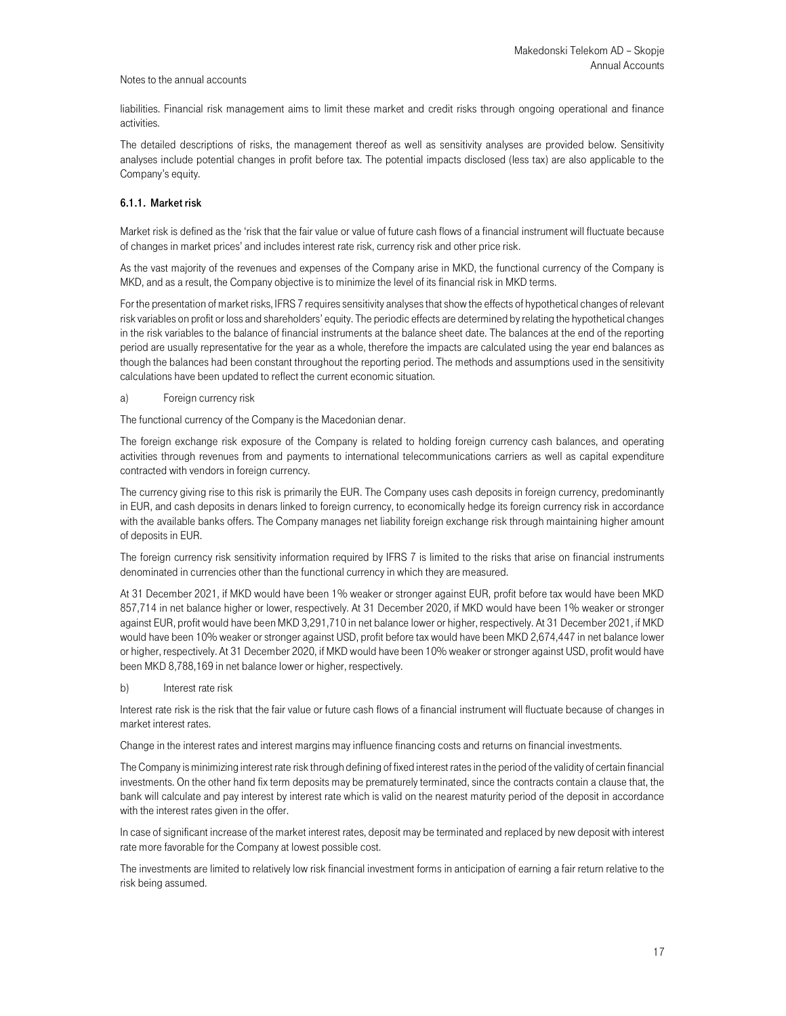liabilities. Financial risk management aims to limit these market and credit risks through ongoing operational and finance activities.

The detailed descriptions of risks, the management thereof as well as sensitivity analyses are provided below. Sensitivity analyses include potential changes in profit before tax. The potential impacts disclosed (less tax) are also applicable to the Company's equity.

## 6.1.1. Market risk

Market risk is defined as the 'risk that the fair value or value of future cash flows of a financial instrument will fluctuate because of changes in market prices' and includes interest rate risk, currency risk and other price risk.

As the vast majority of the revenues and expenses of the Company arise in MKD, the functional currency of the Company is MKD, and as a result, the Company objective is to minimize the level of its financial risk in MKD terms.

For the presentation of market risks, IFRS 7 requires sensitivity analyses that show the effects of hypothetical changes of relevant risk variables on profit or loss and shareholders' equity. The periodic effects are determined by relating the hypothetical changes in the risk variables to the balance of financial instruments at the balance sheet date. The balances at the end of the reporting period are usually representative for the year as a whole, therefore the impacts are calculated using the year end balances as though the balances had been constant throughout the reporting period. The methods and assumptions used in the sensitivity calculations have been updated to reflect the current economic situation.

#### a) Foreign currency risk

The functional currency of the Company is the Macedonian denar.

The foreign exchange risk exposure of the Company is related to holding foreign currency cash balances, and operating activities through revenues from and payments to international telecommunications carriers as well as capital expenditure contracted with vendors in foreign currency.

The currency giving rise to this risk is primarily the EUR. The Company uses cash deposits in foreign currency, predominantly in EUR, and cash deposits in denars linked to foreign currency, to economically hedge its foreign currency risk in accordance with the available banks offers. The Company manages net liability foreign exchange risk through maintaining higher amount of deposits in EUR.

The foreign currency risk sensitivity information required by IFRS 7 is limited to the risks that arise on financial instruments denominated in currencies other than the functional currency in which they are measured.

At 31 December 2021, if MKD would have been 1% weaker or stronger against EUR, profit before tax would have been MKD 857,714 in net balance higher or lower, respectively. At 31 December 2020, if MKD would have been 1% weaker or stronger against EUR, profit would have been MKD 3,291,710 in net balance lower or higher, respectively. At 31 December 2021, if MKD would have been 10% weaker or stronger against USD, profit before tax would have been MKD 2,674,447 in net balance lower or higher, respectively. At 31 December 2020, if MKD would have been 10% weaker or stronger against USD, profit would have been MKD 8,788,169 in net balance lower or higher, respectively.

#### b) Interest rate risk

Interest rate risk is the risk that the fair value or future cash flows of a financial instrument will fluctuate because of changes in market interest rates.

Change in the interest rates and interest margins may influence financing costs and returns on financial investments.

The Company is minimizing interest rate risk through defining of fixed interest rates in the period of the validity of certain financial investments. On the other hand fix term deposits may be prematurely terminated, since the contracts contain a clause that, the bank will calculate and pay interest by interest rate which is valid on the nearest maturity period of the deposit in accordance with the interest rates given in the offer.

In case of significant increase of the market interest rates, deposit may be terminated and replaced by new deposit with interest rate more favorable for the Company at lowest possible cost.

The investments are limited to relatively low risk financial investment forms in anticipation of earning a fair return relative to the risk being assumed.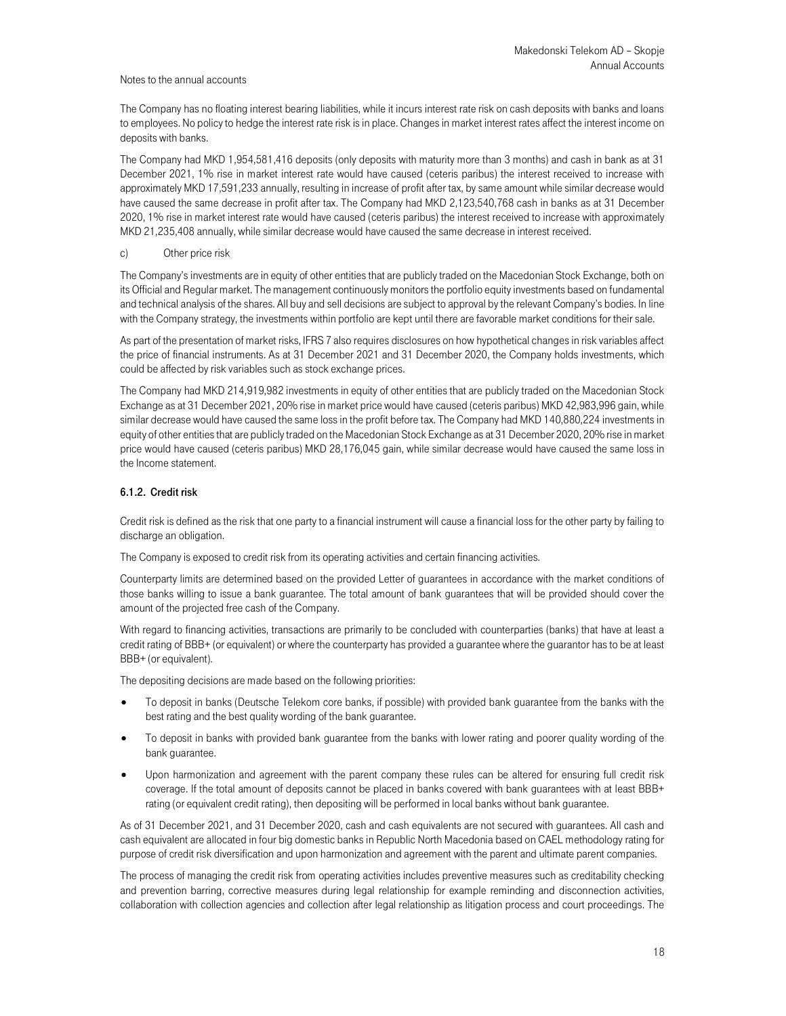The Company has no floating interest bearing liabilities, while it incurs interest rate risk on cash deposits with banks and loans to employees. No policy to hedge the interest rate risk is in place. Changes in market interest rates affect the interest income on deposits with banks.

The Company had MKD 1,954,581,416 deposits (only deposits with maturity more than 3 months) and cash in bank as at 31 December 2021, 1% rise in market interest rate would have caused (ceteris paribus) the interest received to increase with approximately MKD 17,591,233 annually, resulting in increase of profit after tax, by same amount while similar decrease would have caused the same decrease in profit after tax. The Company had MKD 2,123,540,768 cash in banks as at 31 December 2020, 1% rise in market interest rate would have caused (ceteris paribus) the interest received to increase with approximately MKD 21,235,408 annually, while similar decrease would have caused the same decrease in interest received.

### c) Other price risk

The Company's investments are in equity of other entities that are publicly traded on the Macedonian Stock Exchange, both on its Official and Regular market. The management continuously monitors the portfolio equity investments based on fundamental and technical analysis of the shares. All buy and sell decisions are subject to approval by the relevant Company's bodies. In line with the Company strategy, the investments within portfolio are kept until there are favorable market conditions for their sale.

As part of the presentation of market risks, IFRS 7 also requires disclosures on how hypothetical changes in risk variables affect the price of financial instruments. As at 31 December 2021 and 31 December 2020, the Company holds investments, which could be affected by risk variables such as stock exchange prices.

The Company had MKD 214,919,982 investments in equity of other entities that are publicly traded on the Macedonian Stock Exchange as at 31 December 2021, 20% rise in market price would have caused (ceteris paribus) MKD 42,983,996 gain, while similar decrease would have caused the same loss in the profit before tax. The Company had MKD 140,880,224 investments in equity of other entities that are publicly traded on the Macedonian Stock Exchange as at 31 December 2020, 20% rise in market price would have caused (ceteris paribus) MKD 28,176,045 gain, while similar decrease would have caused the same loss in the Income statement.

## 6.1.2. Credit risk

Credit risk is defined as the risk that one party to a financial instrument will cause a financial loss for the other party by failing to discharge an obligation.

The Company is exposed to credit risk from its operating activities and certain financing activities.

Counterparty limits are determined based on the provided Letter of guarantees in accordance with the market conditions of those banks willing to issue a bank guarantee. The total amount of bank guarantees that will be provided should cover the amount of the projected free cash of the Company.

With regard to financing activities, transactions are primarily to be concluded with counterparties (banks) that have at least a credit rating of BBB+ (or equivalent) or where the counterparty has provided a guarantee where the guarantor has to be at least BBB+ (or equivalent).

The depositing decisions are made based on the following priorities:

- To deposit in banks (Deutsche Telekom core banks, if possible) with provided bank guarantee from the banks with the best rating and the best quality wording of the bank guarantee.
- To deposit in banks with provided bank guarantee from the banks with lower rating and poorer quality wording of the bank guarantee.
- Upon harmonization and agreement with the parent company these rules can be altered for ensuring full credit risk coverage. If the total amount of deposits cannot be placed in banks covered with bank guarantees with at least BBB+ rating (or equivalent credit rating), then depositing will be performed in local banks without bank guarantee.

As of 31 December 2021, and 31 December 2020, cash and cash equivalents are not secured with guarantees. All cash and cash equivalent are allocated in four big domestic banks in Republic North Macedonia based on CAEL methodology rating for purpose of credit risk diversification and upon harmonization and agreement with the parent and ultimate parent companies.

The process of managing the credit risk from operating activities includes preventive measures such as creditability checking and prevention barring, corrective measures during legal relationship for example reminding and disconnection activities, collaboration with collection agencies and collection after legal relationship as litigation process and court proceedings. The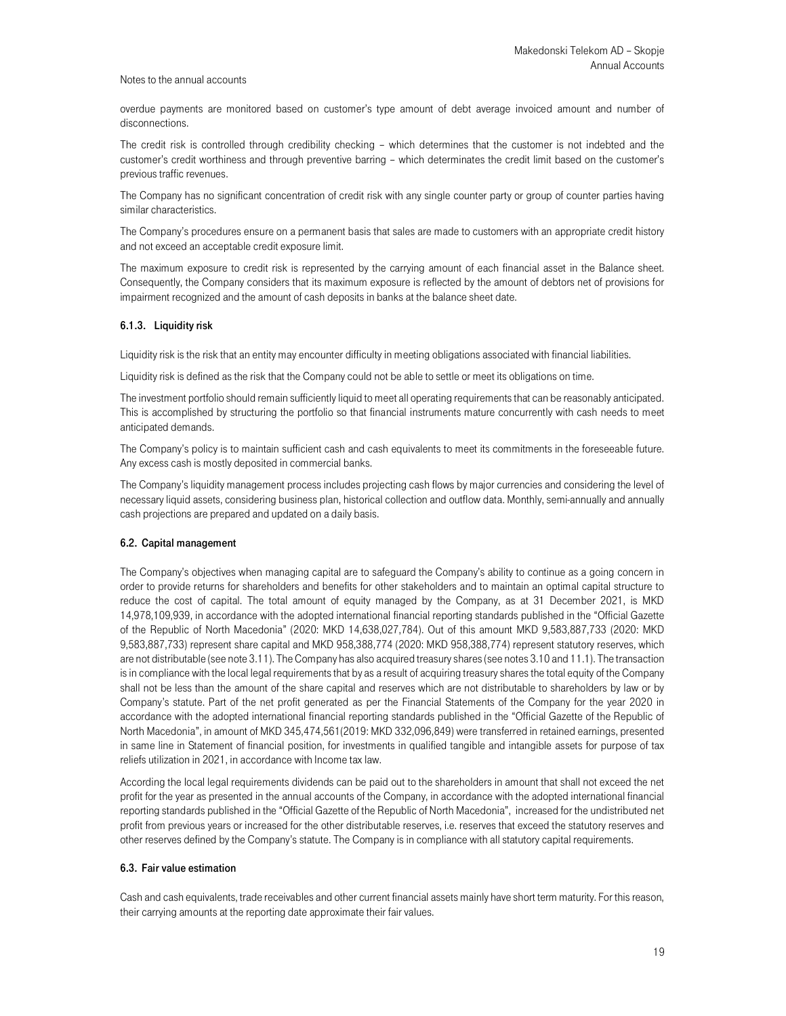overdue payments are monitored based on customer's type amount of debt average invoiced amount and number of disconnections.

The credit risk is controlled through credibility checking – which determines that the customer is not indebted and the customer's credit worthiness and through preventive barring – which determinates the credit limit based on the customer's previous traffic revenues.

The Company has no significant concentration of credit risk with any single counter party or group of counter parties having similar characteristics.

The Company's procedures ensure on a permanent basis that sales are made to customers with an appropriate credit history and not exceed an acceptable credit exposure limit.

The maximum exposure to credit risk is represented by the carrying amount of each financial asset in the Balance sheet. Consequently, the Company considers that its maximum exposure is reflected by the amount of debtors net of provisions for impairment recognized and the amount of cash deposits in banks at the balance sheet date.

## 6.1.3. Liquidity risk

Liquidity risk is the risk that an entity may encounter difficulty in meeting obligations associated with financial liabilities.

Liquidity risk is defined as the risk that the Company could not be able to settle or meet its obligations on time.

The investment portfolio should remain sufficiently liquid to meet all operating requirements that can be reasonably anticipated. This is accomplished by structuring the portfolio so that financial instruments mature concurrently with cash needs to meet anticipated demands.

The Company's policy is to maintain sufficient cash and cash equivalents to meet its commitments in the foreseeable future. Any excess cash is mostly deposited in commercial banks.

The Company's liquidity management process includes projecting cash flows by major currencies and considering the level of necessary liquid assets, considering business plan, historical collection and outflow data. Monthly, semi-annually and annually cash projections are prepared and updated on a daily basis.

#### 6.2. Capital management

The Company's objectives when managing capital are to safeguard the Company's ability to continue as a going concern in order to provide returns for shareholders and benefits for other stakeholders and to maintain an optimal capital structure to reduce the cost of capital. The total amount of equity managed by the Company, as at 31 December 2021, is MKD 14,978,109,939, in accordance with the adopted international financial reporting standards published in the "Official Gazette of the Republic of North Macedonia" (2020: MKD 14,638,027,784). Out of this amount MKD 9,583,887,733 (2020: MKD 9,583,887,733) represent share capital and MKD 958,388,774 (2020: MKD 958,388,774) represent statutory reserves, which are not distributable (see note 3.11). The Company has also acquired treasury shares (see notes 3.10 and 11.1). The transaction is in compliance with the local legal requirements that by as a result of acquiring treasury shares the total equity of the Company shall not be less than the amount of the share capital and reserves which are not distributable to shareholders by law or by Company's statute. Part of the net profit generated as per the Financial Statements of the Company for the year 2020 in accordance with the adopted international financial reporting standards published in the "Official Gazette of the Republic of North Macedonia", in amount of MKD 345,474,561(2019: MKD 332,096,849) were transferred in retained earnings, presented in same line in Statement of financial position, for investments in qualified tangible and intangible assets for purpose of tax reliefs utilization in 2021, in accordance with Income tax law.

According the local legal requirements dividends can be paid out to the shareholders in amount that shall not exceed the net profit for the year as presented in the annual accounts of the Company, in accordance with the adopted international financial reporting standards published in the "Official Gazette of the Republic of North Macedonia", increased for the undistributed net profit from previous years or increased for the other distributable reserves, i.e. reserves that exceed the statutory reserves and other reserves defined by the Company's statute. The Company is in compliance with all statutory capital requirements.

### 6.3. Fair value estimation

Cash and cash equivalents, trade receivables and other current financial assets mainly have short term maturity. For this reason, their carrying amounts at the reporting date approximate their fair values.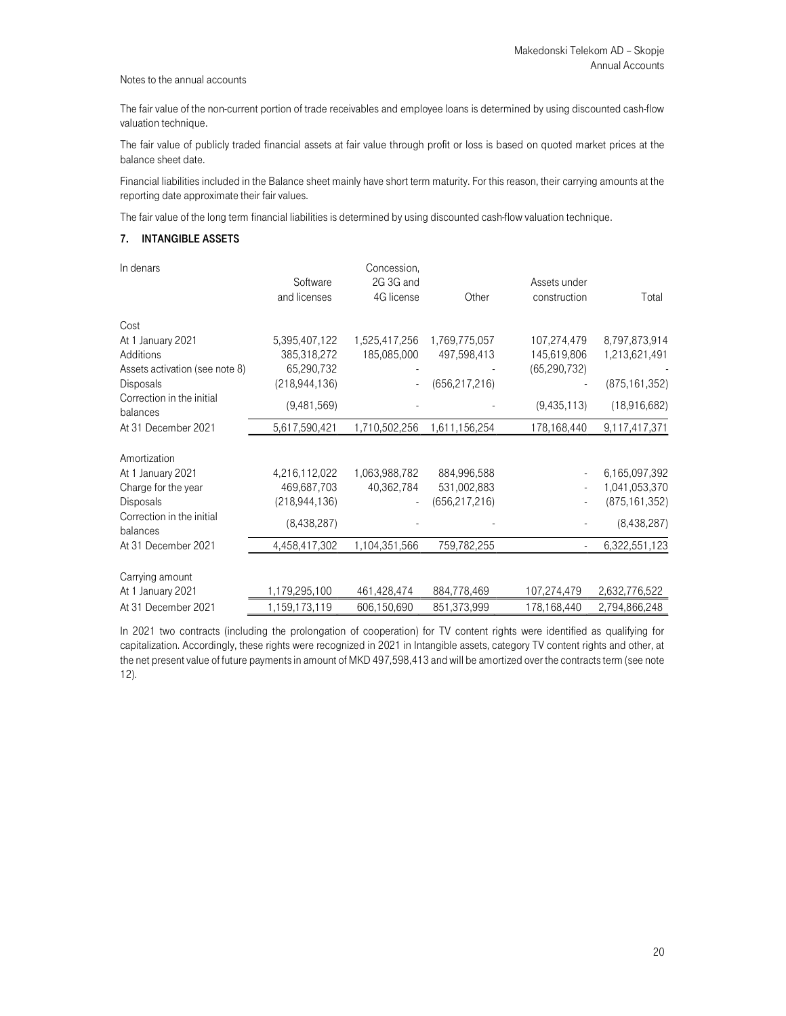The fair value of the non-current portion of trade receivables and employee loans is determined by using discounted cash-flow valuation technique.

The fair value of publicly traded financial assets at fair value through profit or loss is based on quoted market prices at the balance sheet date.

Financial liabilities included in the Balance sheet mainly have short term maturity. For this reason, their carrying amounts at the reporting date approximate their fair values.

The fair value of the long term financial liabilities is determined by using discounted cash-flow valuation technique.

# 7. INTANGIBLE ASSETS

| In denars                             |                 | Concession,   |                 |                |                 |
|---------------------------------------|-----------------|---------------|-----------------|----------------|-----------------|
|                                       | Software        | 2G 3G and     |                 | Assets under   |                 |
|                                       | and licenses    | 4G license    | Other           | construction   | Total           |
| Cost                                  |                 |               |                 |                |                 |
| At 1 January 2021                     | 5,395,407,122   | 1,525,417,256 | 1,769,775,057   | 107,274,479    | 8,797,873,914   |
| <b>Additions</b>                      | 385,318,272     | 185,085,000   | 497,598,413     | 145,619,806    | 1,213,621,491   |
| Assets activation (see note 8)        | 65,290,732      |               |                 | (65, 290, 732) |                 |
| <b>Disposals</b>                      | (218, 944, 136) |               | (656, 217, 216) |                | (875, 161, 352) |
| Correction in the initial<br>balances | (9,481,569)     |               |                 | (9,435,113)    | (18,916,682)    |
| At 31 December 2021                   | 5,617,590,421   | 1,710,502,256 | 1,611,156,254   | 178,168,440    | 9,117,417,371   |
|                                       |                 |               |                 |                |                 |
| Amortization                          |                 |               |                 |                |                 |
| At 1 January 2021                     | 4,216,112,022   | 1,063,988,782 | 884,996,588     |                | 6,165,097,392   |
| Charge for the year                   | 469,687,703     | 40,362,784    | 531,002,883     |                | 1,041,053,370   |
| <b>Disposals</b>                      | (218, 944, 136) |               | (656, 217, 216) |                | (875, 161, 352) |
| Correction in the initial<br>balances | (8,438,287)     |               |                 |                | (8,438,287)     |
| At 31 December 2021                   | 4,458,417,302   | 1,104,351,566 | 759,782,255     |                | 6,322,551,123   |
|                                       |                 |               |                 |                |                 |
| Carrying amount                       |                 |               |                 |                |                 |
| At 1 January 2021                     | 1,179,295,100   | 461,428,474   | 884,778,469     | 107,274,479    | 2,632,776,522   |
| At 31 December 2021                   | 1,159,173,119   | 606,150,690   | 851,373,999     | 178,168,440    | 2,794,866,248   |

In 2021 two contracts (including the prolongation of cooperation) for TV content rights were identified as qualifying for capitalization. Accordingly, these rights were recognized in 2021 in Intangible assets, category TV content rights and other, at the net present value of future payments in amount of MKD 497,598,413 and will be amortized over the contracts term (see note 12).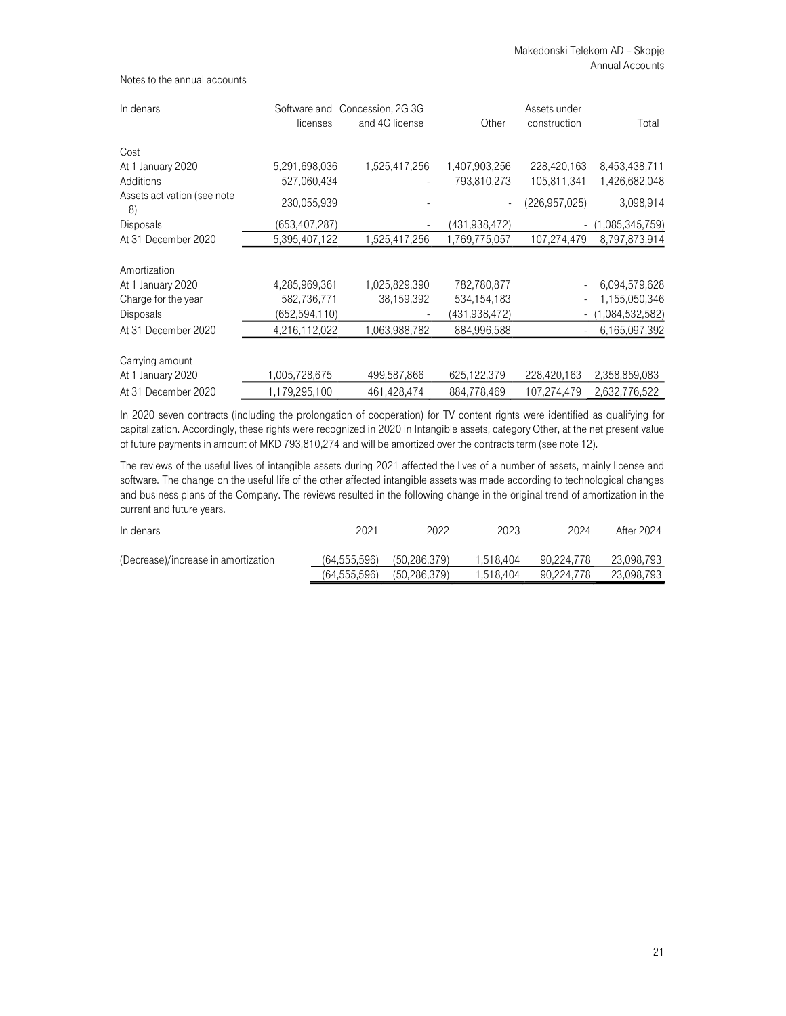| In denars                         | licenses      | Software and Concession, 2G 3G<br>and 4G license | Other         | Assets under<br>construction | Total           |
|-----------------------------------|---------------|--------------------------------------------------|---------------|------------------------------|-----------------|
| Cost                              |               |                                                  |               |                              |                 |
| At 1 January 2020                 | 5,291,698,036 | 1,525,417,256                                    | 1,407,903,256 | 228,420,163                  | 8,453,438,711   |
| Additions                         | 527,060,434   |                                                  | 793,810,273   | 105,811,341                  | 1,426,682,048   |
| Assets activation (see note<br>8) | 230,055,939   |                                                  |               | (226,957,025)                | 3,098,914       |
| <b>Disposals</b>                  | (653,407,287) |                                                  | (431,938,472) |                              | (1,085,345,759) |
| At 31 December 2020               | 5,395,407,122 | 1,525,417,256                                    | 1,769,775,057 | 107,274,479                  | 8,797,873,914   |
| Amortization                      |               |                                                  |               |                              |                 |
| At 1 January 2020                 | 4,285,969,361 | 1,025,829,390                                    | 782,780,877   |                              | 6,094,579,628   |
| Charge for the year               | 582,736,771   | 38,159,392                                       | 534,154,183   |                              | 1,155,050,346   |
| <b>Disposals</b>                  | (652,594,110) |                                                  | (431,938,472) |                              | (1,084,532,582) |
| At 31 December 2020               | 4,216,112,022 | 1,063,988,782                                    | 884,996,588   |                              | 6,165,097,392   |
| Carrying amount                   |               |                                                  |               |                              |                 |
| At 1 January 2020                 | 1,005,728,675 | 499,587,866                                      | 625,122,379   | 228,420,163                  | 2,358,859,083   |
| At 31 December 2020               | 1,179,295,100 | 461,428,474                                      | 884,778,469   | 107,274,479                  | 2,632,776,522   |

In 2020 seven contracts (including the prolongation of cooperation) for TV content rights were identified as qualifying for capitalization. Accordingly, these rights were recognized in 2020 in Intangible assets, category Other, at the net present value of future payments in amount of MKD 793,810,274 and will be amortized over the contracts term (see note 12).

The reviews of the useful lives of intangible assets during 2021 affected the lives of a number of assets, mainly license and software. The change on the useful life of the other affected intangible assets was made according to technological changes and business plans of the Company. The reviews resulted in the following change in the original trend of amortization in the current and future years.

| In denars                           | 2021           | 2022           | 2023      | 2024       | After 2024 |
|-------------------------------------|----------------|----------------|-----------|------------|------------|
| (Decrease)/increase in amortization | (64, 555, 596) | (50.286.379)   | 1.518.404 | 90.224.778 | 23,098,793 |
|                                     | (64, 555, 596) | (50, 286, 379) | 1,518,404 | 90.224.778 | 23,098,793 |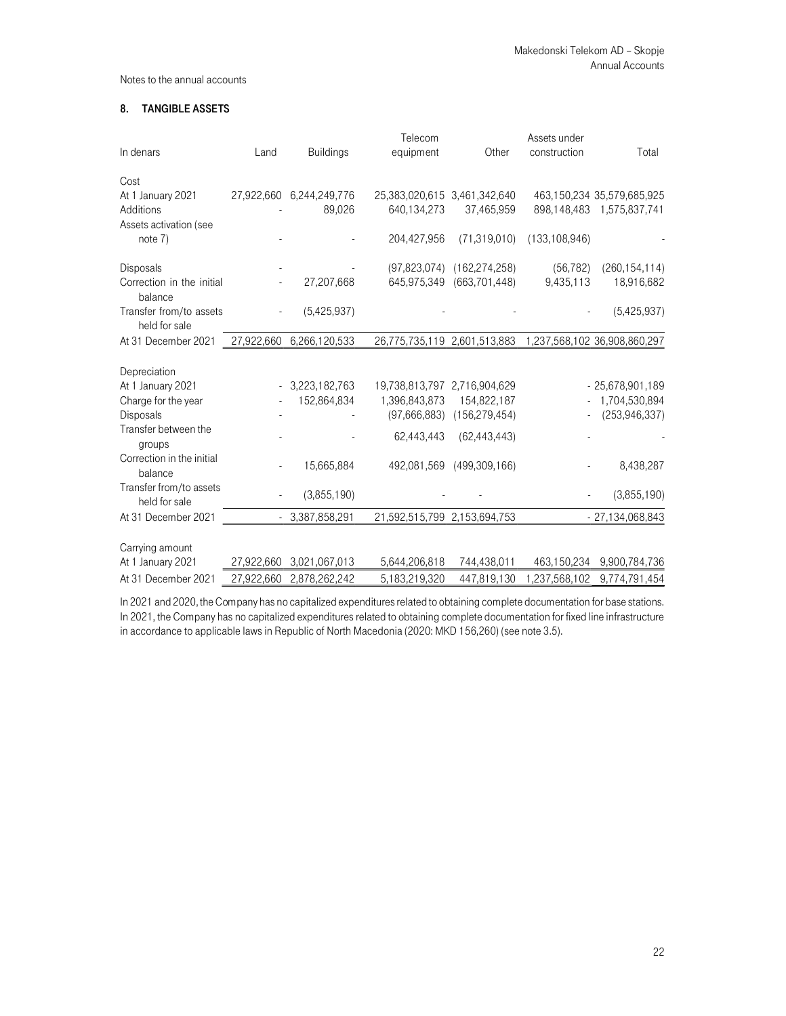## 8. TANGIBLE ASSETS

|                           |            |                          | Telecom                      |                           | Assets under    |                              |
|---------------------------|------------|--------------------------|------------------------------|---------------------------|-----------------|------------------------------|
| In denars                 | Land       | <b>Buildings</b>         | equipment                    | Other                     | construction    | Total                        |
| Cost                      |            |                          |                              |                           |                 |                              |
| At 1 January 2021         |            | 27,922,660 6,244,249,776 | 25,383,020,615 3,461,342,640 |                           |                 | 463,150,234 35,579,685,925   |
| Additions                 |            | 89,026                   | 640,134,273                  | 37,465,959                |                 | 898,148,483 1,575,837,741    |
| Assets activation (see    |            |                          |                              |                           |                 |                              |
| note 7)                   |            |                          | 204,427,956                  | (71, 319, 010)            | (133, 108, 946) |                              |
| Disposals                 |            |                          | (97, 823, 074)               | (162, 274, 258)           | (56, 782)       | (260, 154, 114)              |
| Correction in the initial |            | 27,207,668               | 645,975,349                  | (663, 701, 448)           | 9,435,113       | 18,916,682                   |
| balance                   |            |                          |                              |                           |                 |                              |
| Transfer from/to assets   |            | (5,425,937)              |                              |                           |                 | (5,425,937)                  |
| held for sale             |            |                          |                              |                           |                 |                              |
| At 31 December 2021       | 27,922,660 | 6,266,120,533            | 26,775,735,119 2,601,513,883 |                           |                 | 1,237,568,102 36,908,860,297 |
| Depreciation              |            |                          |                              |                           |                 |                              |
| At 1 January 2021         |            | 3,223,182,763            | 19,738,813,797 2,716,904,629 |                           |                 | $-25,678,901,189$            |
| Charge for the year       |            | 152,864,834              | 1,396,843,873                | 154,822,187               |                 | 1,704,530,894                |
| Disposals                 |            |                          | (97,666,883)                 | (156, 279, 454)           |                 | (253, 946, 337)              |
| Transfer between the      |            |                          |                              |                           |                 |                              |
| groups                    |            |                          | 62,443,443                   | (62, 443, 443)            |                 |                              |
| Correction in the initial |            |                          |                              |                           |                 |                              |
| balance                   |            | 15,665,884               |                              | 492,081,569 (499,309,166) |                 | 8,438,287                    |
| Transfer from/to assets   |            | (3,855,190)              |                              |                           |                 | (3,855,190)                  |
| held for sale             |            |                          |                              |                           |                 |                              |
| At 31 December 2021       |            | $-3,387,858,291$         | 21,592,515,799 2,153,694,753 |                           |                 | $-27,134,068,843$            |
|                           |            |                          |                              |                           |                 |                              |
| Carrying amount           |            |                          |                              |                           |                 |                              |
| At 1 January 2021         | 27,922,660 | 3,021,067,013            | 5,644,206,818                | 744,438,011               | 463,150,234     | 9,900,784,736                |
| At 31 December 2021       | 27,922,660 | 2,878,262,242            | 5,183,219,320                | 447,819,130               | 1,237,568,102   | 9,774,791,454                |

In 2021 and 2020, the Company has no capitalized expenditures related to obtaining complete documentation for base stations. In 2021, the Company has no capitalized expenditures related to obtaining complete documentation for fixed line infrastructure in accordance to applicable laws in Republic of North Macedonia (2020: MKD 156,260) (see note 3.5).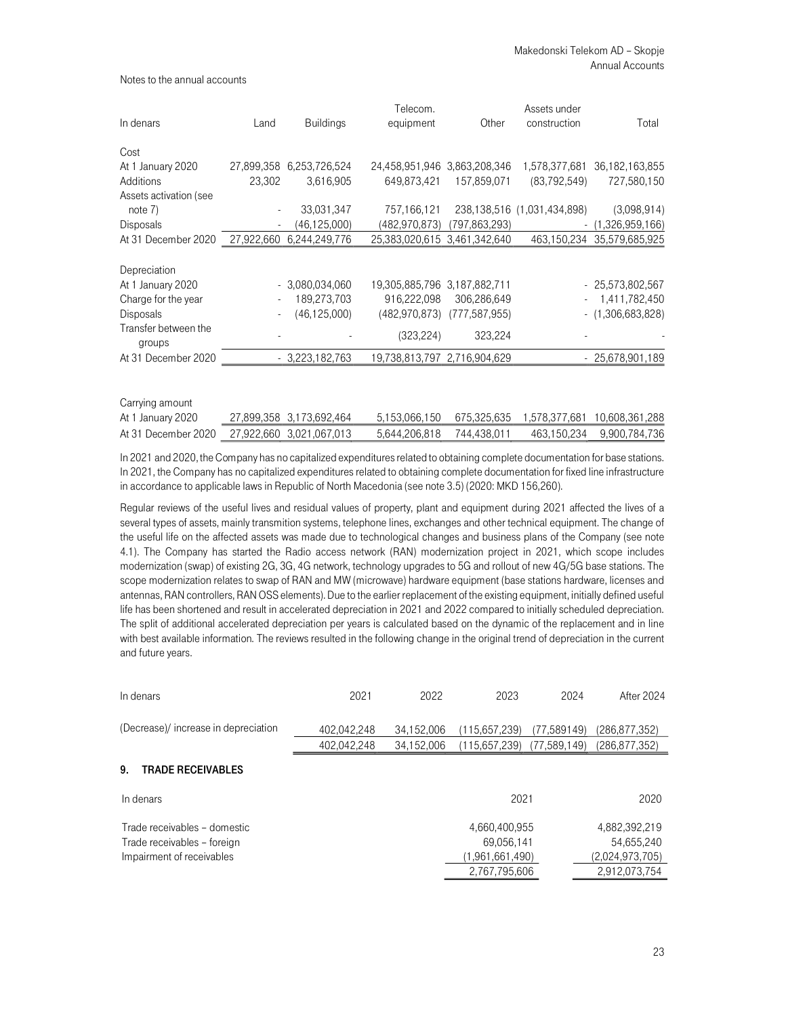|                                |        |                          | Telecom.                     |                 | Assets under                |                              |
|--------------------------------|--------|--------------------------|------------------------------|-----------------|-----------------------------|------------------------------|
| In denars                      | Land   | <b>Buildings</b>         | equipment                    | Other           | construction                | Total                        |
| Cost                           |        |                          |                              |                 |                             |                              |
| At 1 January 2020              |        | 27,899,358 6,253,726,524 | 24,458,951,946 3,863,208,346 |                 | 1,578,377,681               | 36,182,163,855               |
| Additions                      | 23,302 | 3,616,905                | 649,873,421                  | 157,859,071     | (83, 792, 549)              | 727,580,150                  |
| Assets activation (see         |        |                          |                              |                 |                             |                              |
| note $7)$                      |        | 33,031,347               | 757,166,121                  |                 | 238,138,516 (1,031,434,898) | (3,098,914)                  |
| <b>Disposals</b>               |        | (46, 125, 000)           | (482,970,873)                | (797,863,293)   | $\sim$                      | (1,326,959,166)              |
| At 31 December 2020            |        | 27,922,660 6,244,249,776 | 25,383,020,615 3,461,342,640 |                 |                             | 463,150,234 35,579,685,925   |
| Depreciation                   |        |                          |                              |                 |                             |                              |
| At 1 January 2020              |        | $-3,080,034,060$         | 19,305,885,796 3,187,882,711 |                 |                             | $-25.573.802.567$            |
| Charge for the year            |        | 189,273,703              | 916.222.098                  | 306,286,649     |                             | 1,411,782,450                |
|                                |        |                          |                              |                 |                             |                              |
| <b>Disposals</b>               |        | (46, 125, 000)           | (482,970,873)                | (777, 587, 955) |                             | $-$ (1,306,683,828)          |
| Transfer between the<br>groups |        |                          | (323, 224)                   | 323,224         |                             |                              |
| At 31 December 2020            |        | $-3,223,182,763$         | 19,738,813,797 2,716,904,629 |                 |                             | $-25,678,901,189$            |
|                                |        |                          |                              |                 |                             |                              |
| Carrying amount                |        |                          |                              |                 |                             |                              |
| At 1 January 2020              |        | 27,899,358 3,173,692,464 | 5,153,066,150                | 675,325,635     |                             | 1,578,377,681 10,608,361,288 |

In 2021 and 2020, the Company has no capitalized expenditures related to obtaining complete documentation for base stations. In 2021, the Company has no capitalized expenditures related to obtaining complete documentation for fixed line infrastructure in accordance to applicable laws in Republic of North Macedonia (see note 3.5) (2020: MKD 156,260).

At 31 December 2020 27,922,660 3,021,067,013 5,644,206,818 744,438,011 463,150,234 9,900,784,736

Regular reviews of the useful lives and residual values of property, plant and equipment during 2021 affected the lives of a several types of assets, mainly transmition systems, telephone lines, exchanges and other technical equipment. The change of the useful life on the affected assets was made due to technological changes and business plans of the Company (see note 4.1). The Company has started the Radio access network (RAN) modernization project in 2021, which scope includes modernization (swap) of existing 2G, 3G, 4G network, technology upgrades to 5G and rollout of new 4G/5G base stations. The scope modernization relates to swap of RAN and MW (microwave) hardware equipment (base stations hardware, licenses and antennas, RAN controllers, RAN OSS elements). Due to the earlier replacement of the existing equipment, initially defined useful life has been shortened and result in accelerated depreciation in 2021 and 2022 compared to initially scheduled depreciation. The split of additional accelerated depreciation per years is calculated based on the dynamic of the replacement and in line with best available information. The reviews resulted in the following change in the original trend of depreciation in the current and future years.

| In denars                                                                                | 2021        | 2022       | 2023                                           | 2024         | After 2024                                     |
|------------------------------------------------------------------------------------------|-------------|------------|------------------------------------------------|--------------|------------------------------------------------|
| (Decrease)/ increase in depreciation                                                     | 402,042,248 | 34,152,006 | (115.657,239)                                  | (77,589149)  | (286,877,352)                                  |
|                                                                                          | 402,042,248 | 34,152,006 | (115.657,239)                                  | (77,589,149) | (286,877,352)                                  |
| <b>TRADE RECEIVABLES</b><br>9.                                                           |             |            |                                                |              |                                                |
| In denars                                                                                |             |            | 2021                                           |              | 2020                                           |
| Trade receivables - domestic<br>Trade receivables - foreign<br>Impairment of receivables |             |            | 4,660,400,955<br>69,056,141<br>(1,961,661,490) |              | 4,882,392,219<br>54,655,240<br>(2,024,973,705) |
|                                                                                          |             |            | 2,767,795,606                                  |              | 2,912,073,754                                  |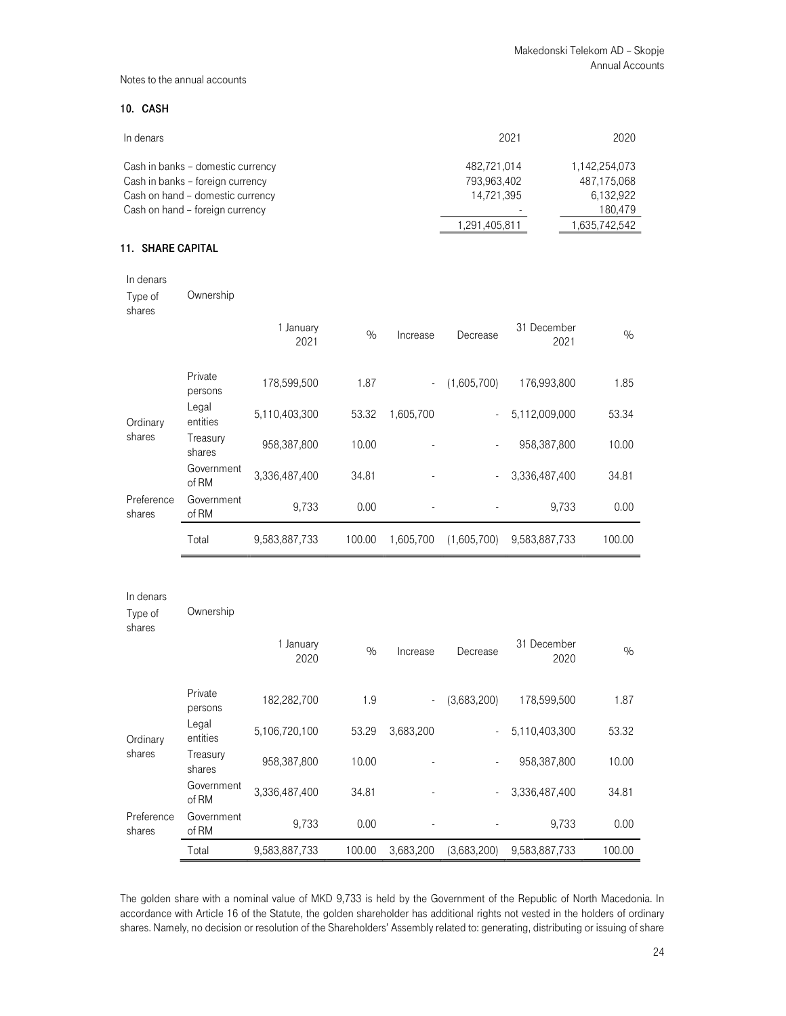## 10. CASH

| In denars                         | 2021          | 2020          |
|-----------------------------------|---------------|---------------|
| Cash in banks - domestic currency | 482.721.014   | 1,142,254,073 |
| Cash in banks - foreign currency  | 793,963,402   | 487,175,068   |
| Cash on hand - domestic currency  | 14.721.395    | 6,132,922     |
| Cash on hand - foreign currency   |               | 180,479       |
|                                   | 1,291,405,811 | 1,635,742,542 |

# 11. SHARE CAPITAL

| In denars                      |                     |                   |        |           |                |                     |               |
|--------------------------------|---------------------|-------------------|--------|-----------|----------------|---------------------|---------------|
| Type of<br>shares              | Ownership           |                   |        |           |                |                     |               |
|                                |                     | 1 January<br>2021 | $\%$   | Increase  | Decrease       | 31 December<br>2021 | $\frac{0}{0}$ |
|                                | Private<br>persons  | 178,599,500       | 1.87   | $\Box$    | (1,605,700)    | 176,993,800         | 1.85          |
| Ordinary                       | Legal<br>entities   | 5,110,403,300     | 53.32  | 1,605,700 |                | 5,112,009,000       | 53.34         |
| shares                         | Treasury<br>shares  | 958,387,800       | 10.00  |           |                | 958,387,800         | 10.00         |
|                                | Government<br>of RM | 3,336,487,400     | 34.81  |           | $\blacksquare$ | 3,336,487,400       | 34.81         |
| Preference<br>shares           | Government<br>of RM | 9,733             | 0.00   |           |                | 9,733               | 0.00          |
|                                | Total               | 9,583,887,733     | 100.00 | 1,605,700 | (1,605,700)    | 9,583,887,733       | 100.00        |
|                                |                     |                   |        |           |                |                     |               |
| In denars<br>Type of<br>shares | Ownership           |                   |        |           |                |                     |               |

|                              |                     | 1 January<br>2020 | $\%$   | Increase                 | Decrease    | 31 December<br>2020 | $\%$   |
|------------------------------|---------------------|-------------------|--------|--------------------------|-------------|---------------------|--------|
|                              | Private<br>persons  | 182,282,700       | 1.9    | $\overline{\phantom{a}}$ | (3,683,200) | 178,599,500         | 1.87   |
| Ordinary                     | Legal<br>entities   | 5.106.720.100     | 53.29  | 3.683.200                |             | 5.110.403.300       | 53.32  |
| shares<br>Treasury<br>shares | 958.387.800         | 10.00             |        | $\overline{\phantom{a}}$ | 958.387.800 | 10.00               |        |
|                              | Government<br>of RM | 3,336,487,400     | 34.81  |                          |             | 3,336,487,400       | 34.81  |
| Preference<br>shares         | Government<br>of RM | 9.733             | 0.00   |                          |             | 9.733               | 0.00   |
|                              | Total               | 9.583.887.733     | 100.00 | 3.683.200                | (3,683,200) | 9,583,887,733       | 100.00 |

The golden share with a nominal value of MKD 9,733 is held by the Government of the Republic of North Macedonia. In accordance with Article 16 of the Statute, the golden shareholder has additional rights not vested in the holders of ordinary shares. Namely, no decision or resolution of the Shareholders' Assembly related to: generating, distributing or issuing of share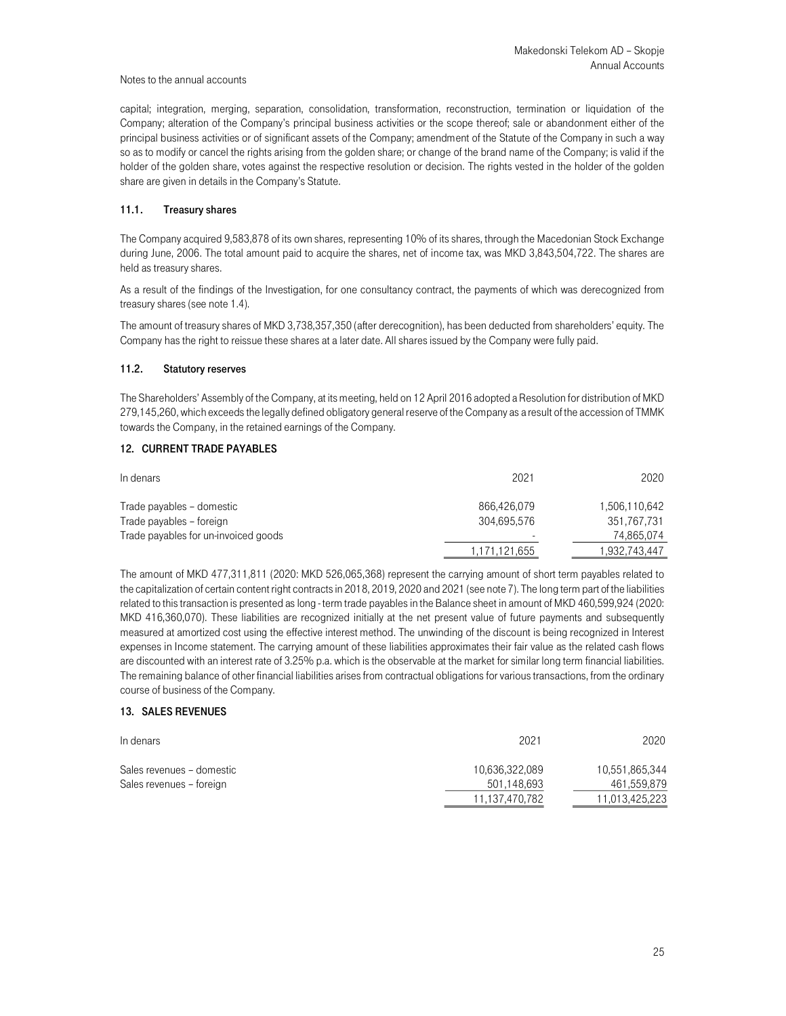capital; integration, merging, separation, consolidation, transformation, reconstruction, termination or liquidation of the Company; alteration of the Company's principal business activities or the scope thereof; sale or abandonment either of the principal business activities or of significant assets of the Company; amendment of the Statute of the Company in such a way so as to modify or cancel the rights arising from the golden share; or change of the brand name of the Company; is valid if the holder of the golden share, votes against the respective resolution or decision. The rights vested in the holder of the golden share are given in details in the Company's Statute.

## 11.1. Treasury shares

The Company acquired 9,583,878 of its own shares, representing 10% of its shares, through the Macedonian Stock Exchange during June, 2006. The total amount paid to acquire the shares, net of income tax, was MKD 3,843,504,722. The shares are held as treasury shares.

As a result of the findings of the Investigation, for one consultancy contract, the payments of which was derecognized from treasury shares (see note 1.4).

The amount of treasury shares of MKD 3,738,357,350 (after derecognition), has been deducted from shareholders' equity. The Company has the right to reissue these shares at a later date. All shares issued by the Company were fully paid.

### 11.2. Statutory reserves

The Shareholders' Assembly of the Company, at its meeting, held on 12 April 2016 adopted a Resolution for distribution of MKD 279,145,260, which exceeds the legally defined obligatory general reserve of the Company as a result of the accession of TMMK towards the Company, in the retained earnings of the Company.

#### 12. CURRENT TRADE PAYABLES

| In denars                            | 2021          | 2020          |
|--------------------------------------|---------------|---------------|
| Trade payables – domestic            | 866.426.079   | 1,506,110,642 |
| Trade payables – foreign             | 304.695.576   | 351,767,731   |
| Trade payables for un-invoiced goods | -             | 74.865.074    |
|                                      | 1,171,121,655 | 1,932,743,447 |
|                                      |               |               |

The amount of MKD 477,311,811 (2020: MKD 526,065,368) represent the carrying amount of short term payables related to the capitalization of certain content right contracts in 2018, 2019, 2020 and 2021 (see note 7). The long term part of the liabilities related to this transaction is presented as long - term trade payables in the Balance sheet in amount of MKD 460,599,924 (2020: MKD 416,360,070). These liabilities are recognized initially at the net present value of future payments and subsequently measured at amortized cost using the effective interest method. The unwinding of the discount is being recognized in Interest expenses in Income statement. The carrying amount of these liabilities approximates their fair value as the related cash flows are discounted with an interest rate of 3.25% p.a. which is the observable at the market for similar long term financial liabilities. The remaining balance of other financial liabilities arises from contractual obligations for various transactions, from the ordinary course of business of the Company.

## 13. SALES REVENUES

| In denars                                             | 2021                          | 2020                          |
|-------------------------------------------------------|-------------------------------|-------------------------------|
| Sales revenues - domestic<br>Sales revenues - foreign | 10,636,322,089<br>501,148,693 | 10,551,865,344<br>461,559,879 |
|                                                       | 11,137,470,782                | 11,013,425,223                |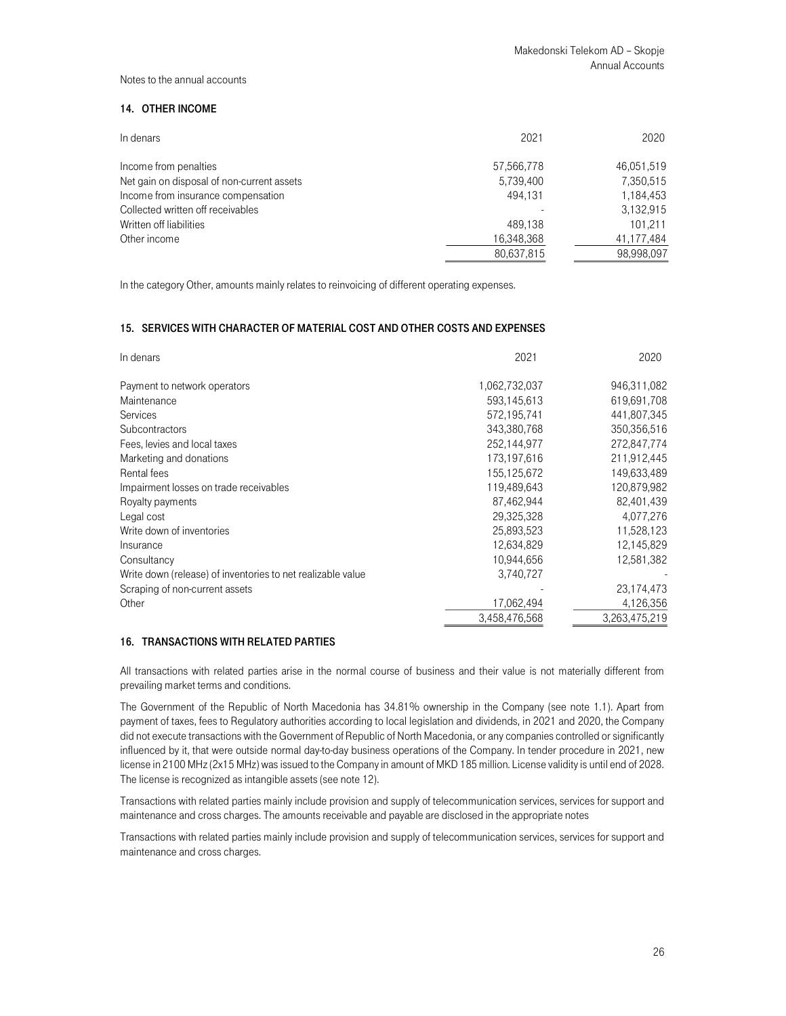## 14. OTHER INCOME

| In denars                                  | 2021       | 2020       |
|--------------------------------------------|------------|------------|
| Income from penalties                      | 57,566,778 | 46,051,519 |
| Net gain on disposal of non-current assets | 5,739,400  | 7,350,515  |
| Income from insurance compensation         | 494.131    | 1,184,453  |
| Collected written off receivables          |            | 3,132,915  |
| Written off liabilities                    | 489.138    | 101.211    |
| Other income                               | 16,348,368 | 41,177,484 |
|                                            | 80,637,815 | 98,998,097 |

In the category Other, amounts mainly relates to reinvoicing of different operating expenses.

## 15. SERVICES WITH CHARACTER OF MATERIAL COST AND OTHER COSTS AND EXPENSES

| In denars                                                   | 2021          | 2020          |
|-------------------------------------------------------------|---------------|---------------|
| Payment to network operators                                | 1,062,732,037 | 946,311,082   |
| Maintenance                                                 | 593,145,613   | 619,691,708   |
| Services                                                    | 572,195,741   | 441,807,345   |
| <b>Subcontractors</b>                                       | 343,380,768   | 350,356,516   |
| Fees, levies and local taxes                                | 252,144,977   | 272,847,774   |
| Marketing and donations                                     | 173,197,616   | 211,912,445   |
| Rental fees                                                 | 155,125,672   | 149,633,489   |
| Impairment losses on trade receivables                      | 119,489,643   | 120,879,982   |
| Royalty payments                                            | 87,462,944    | 82,401,439    |
| Legal cost                                                  | 29,325,328    | 4,077,276     |
| Write down of inventories                                   | 25,893,523    | 11,528,123    |
| Insurance                                                   | 12,634,829    | 12,145,829    |
| Consultancy                                                 | 10,944,656    | 12,581,382    |
| Write down (release) of inventories to net realizable value | 3,740,727     |               |
| Scraping of non-current assets                              |               | 23,174,473    |
| Other                                                       | 17,062,494    | 4,126,356     |
|                                                             | 3,458,476,568 | 3,263,475,219 |

## 16. TRANSACTIONS WITH RELATED PARTIES

All transactions with related parties arise in the normal course of business and their value is not materially different from prevailing market terms and conditions.

The Government of the Republic of North Macedonia has 34.81% ownership in the Company (see note 1.1). Apart from payment of taxes, fees to Regulatory authorities according to local legislation and dividends, in 2021 and 2020, the Company did not execute transactions with the Government of Republic of North Macedonia, or any companies controlled or significantly influenced by it, that were outside normal day-to-day business operations of the Company. In tender procedure in 2021, new license in 2100 MHz (2x15 MHz) was issued to the Company in amount of MKD 185 million. License validity is until end of 2028. The license is recognized as intangible assets (see note 12).

Transactions with related parties mainly include provision and supply of telecommunication services, services for support and maintenance and cross charges. The amounts receivable and payable are disclosed in the appropriate notes

Transactions with related parties mainly include provision and supply of telecommunication services, services for support and maintenance and cross charges.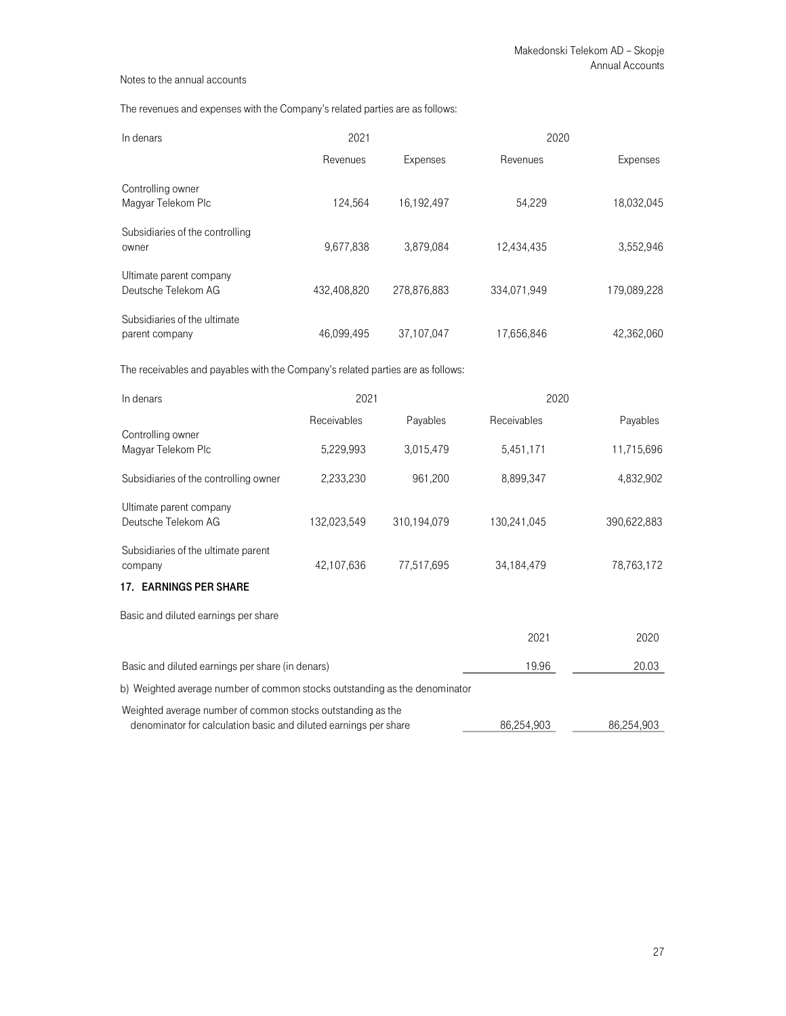The revenues and expenses with the Company's related parties are as follows:

| In denars                                      | 2021        |             | 2020        |             |  |
|------------------------------------------------|-------------|-------------|-------------|-------------|--|
|                                                | Revenues    | Expenses    | Revenues    | Expenses    |  |
| Controlling owner<br>Magyar Telekom Plc        | 124.564     | 16,192,497  | 54.229      | 18,032,045  |  |
| Subsidiaries of the controlling<br>owner       | 9,677,838   | 3,879,084   | 12,434,435  | 3,552,946   |  |
| Ultimate parent company<br>Deutsche Telekom AG | 432.408.820 | 278.876.883 | 334.071.949 | 179,089,228 |  |
| Subsidiaries of the ultimate<br>parent company | 46.099.495  | 37.107.047  | 17.656.846  | 42.362.060  |  |

The receivables and payables with the Company's related parties are as follows:

| In denars                                                                                                                       | 2021        |             | 2020        |             |
|---------------------------------------------------------------------------------------------------------------------------------|-------------|-------------|-------------|-------------|
|                                                                                                                                 | Receivables | Payables    | Receivables | Payables    |
| Controlling owner<br>Magyar Telekom Plc                                                                                         | 5,229,993   | 3,015,479   | 5,451,171   | 11,715,696  |
| Subsidiaries of the controlling owner                                                                                           | 2,233,230   | 961,200     | 8,899,347   | 4,832,902   |
| Ultimate parent company<br>Deutsche Telekom AG                                                                                  | 132,023,549 | 310,194,079 | 130,241,045 | 390,622,883 |
| Subsidiaries of the ultimate parent<br>company                                                                                  | 42,107,636  | 77,517,695  | 34,184,479  | 78,763,172  |
| <b>17. EARNINGS PER SHARE</b>                                                                                                   |             |             |             |             |
| Basic and diluted earnings per share                                                                                            |             |             |             |             |
|                                                                                                                                 |             |             | 2021        | 2020        |
| Basic and diluted earnings per share (in denars)                                                                                |             |             | 19.96       | 20.03       |
| b) Weighted average number of common stocks outstanding as the denominator                                                      |             |             |             |             |
| Weighted average number of common stocks outstanding as the<br>denominator for calculation basic and diluted earnings per share |             |             | 86,254,903  | 86,254,903  |